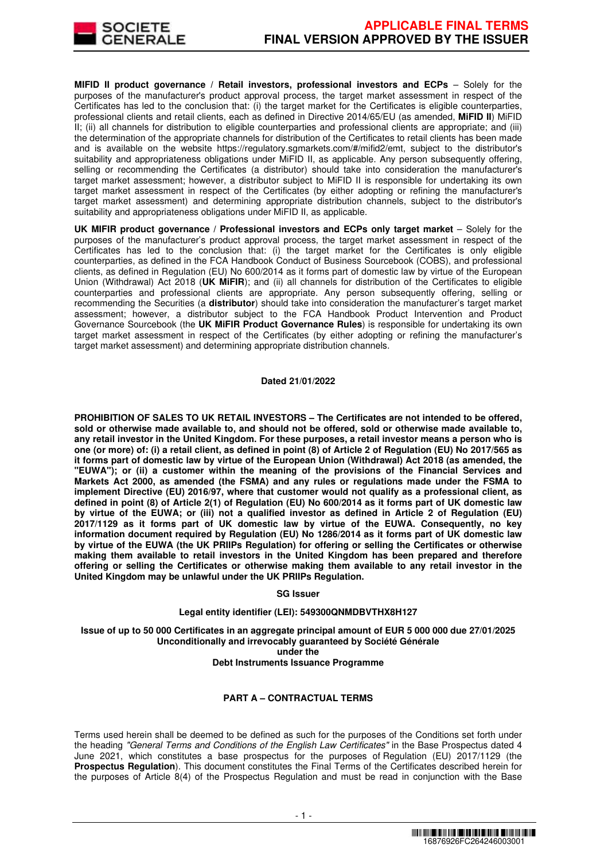

**MIFID II product governance / Retail investors, professional investors and ECPs - Solely for the** purposes of the manufacturer's product approval process, the target market assessment in respect of the Certificates has led to the conclusion that: (i) the target market for the Certificates is eligible counterparties, professional clients and retail clients, each as defined in Directive 2014/65/EU (as amended, **MiFID II**) MiFID II; (ii) all channels for distribution to eligible counterparties and professional clients are appropriate; and (iii) the determination of the appropriate channels for distribution of the Certificates to retail clients has been made and is available on the website https://regulatory.sgmarkets.com/#/mifid2/emt, subject to the distributor's suitability and appropriateness obligations under MiFID II, as applicable. Any person subsequently offering, selling or recommending the Certificates (a distributor) should take into consideration the manufacturer's target market assessment; however, a distributor subject to MiFID II is responsible for undertaking its own target market assessment in respect of the Certificates (by either adopting or refining the manufacturer's target market assessment) and determining appropriate distribution channels, subject to the distributor's suitability and appropriateness obligations under MiFID II, as applicable.

**UK MIFIR product governance / Professional investors and ECPs only target market** – Solely for the purposes of the manufacturer's product approval process, the target market assessment in respect of the Certificates has led to the conclusion that: (i) the target market for the Certificates is only eligible counterparties, as defined in the FCA Handbook Conduct of Business Sourcebook (COBS), and professional clients, as defined in Regulation (EU) No 600/2014 as it forms part of domestic law by virtue of the European Union (Withdrawal) Act 2018 (**UK MiFIR**); and (ii) all channels for distribution of the Certificates to eligible counterparties and professional clients are appropriate. Any person subsequently offering, selling or recommending the Securities (a **distributor**) should take into consideration the manufacturer's target market assessment; however, a distributor subject to the FCA Handbook Product Intervention and Product Governance Sourcebook (the **UK MiFIR Product Governance Rules**) is responsible for undertaking its own target market assessment in respect of the Certificates (by either adopting or refining the manufacturer's target market assessment) and determining appropriate distribution channels.

#### **Dated 21/01/2022**

**PROHIBITION OF SALES TO UK RETAIL INVESTORS – The Certificates are not intended to be offered, sold or otherwise made available to, and should not be offered, sold or otherwise made available to, any retail investor in the United Kingdom. For these purposes, a retail investor means a person who is one (or more) of: (i) a retail client, as defined in point (8) of Article 2 of Regulation (EU) No 2017/565 as it forms part of domestic law by virtue of the European Union (Withdrawal) Act 2018 (as amended, the "EUWA"); or (ii) a customer within the meaning of the provisions of the Financial Services and Markets Act 2000, as amended (the FSMA) and any rules or regulations made under the FSMA to implement Directive (EU) 2016/97, where that customer would not qualify as a professional client, as defined in point (8) of Article 2(1) of Regulation (EU) No 600/2014 as it forms part of UK domestic law by virtue of the EUWA; or (iii) not a qualified investor as defined in Article 2 of Regulation (EU) 2017/1129 as it forms part of UK domestic law by virtue of the EUWA. Consequently, no key information document required by Regulation (EU) No 1286/2014 as it forms part of UK domestic law by virtue of the EUWA (the UK PRIIPs Regulation) for offering or selling the Certificates or otherwise making them available to retail investors in the United Kingdom has been prepared and therefore offering or selling the Certificates or otherwise making them available to any retail investor in the United Kingdom may be unlawful under the UK PRIIPs Regulation.**

#### **SG Issuer**

## **Legal entity identifier (LEI): 549300QNMDBVTHX8H127**

**Issue of up to 50 000 Certificates in an aggregate principal amount of EUR 5 000 000 due 27/01/2025 Unconditionally and irrevocably guaranteed by Société Générale under the Debt Instruments Issuance Programme**

# **PART A – CONTRACTUAL TERMS**

Terms used herein shall be deemed to be defined as such for the purposes of the Conditions set forth under the heading "General Terms and Conditions of the English Law Certificates" in the Base Prospectus dated 4 June 2021, which constitutes a base prospectus for the purposes of Regulation (EU) 2017/1129 (the **Prospectus Regulation**). This document constitutes the Final Terms of the Certificates described herein for the purposes of Article 8(4) of the Prospectus Regulation and must be read in conjunction with the Base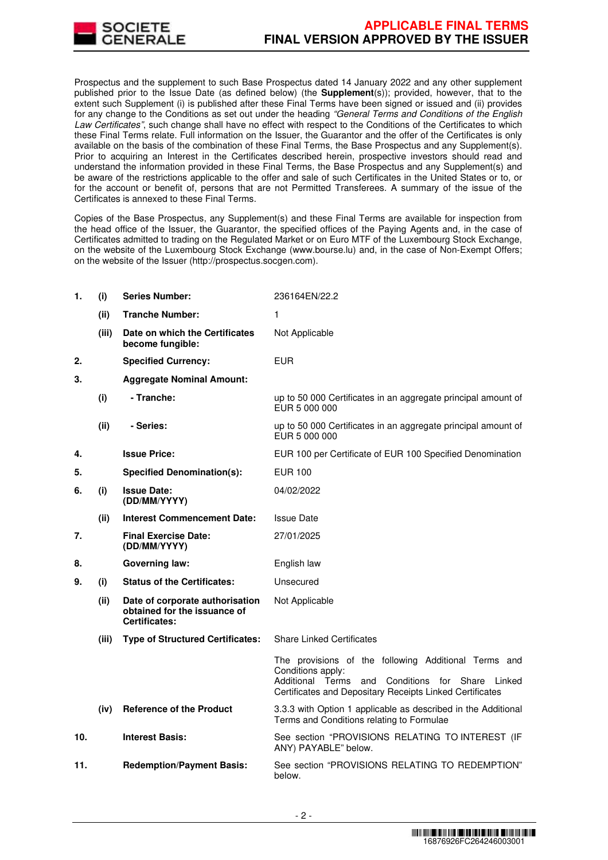

Prospectus and the supplement to such Base Prospectus dated 14 January 2022 and any other supplement published prior to the Issue Date (as defined below) (the **Supplement**(s)); provided, however, that to the extent such Supplement (i) is published after these Final Terms have been signed or issued and (ii) provides for any change to the Conditions as set out under the heading "General Terms and Conditions of the English Law Certificates", such change shall have no effect with respect to the Conditions of the Certificates to which these Final Terms relate. Full information on the Issuer, the Guarantor and the offer of the Certificates is only available on the basis of the combination of these Final Terms, the Base Prospectus and any Supplement(s). Prior to acquiring an Interest in the Certificates described herein, prospective investors should read and understand the information provided in these Final Terms, the Base Prospectus and any Supplement(s) and be aware of the restrictions applicable to the offer and sale of such Certificates in the United States or to, or for the account or benefit of, persons that are not Permitted Transferees. A summary of the issue of the Certificates is annexed to these Final Terms.

Copies of the Base Prospectus, any Supplement(s) and these Final Terms are available for inspection from the head office of the Issuer, the Guarantor, the specified offices of the Paying Agents and, in the case of Certificates admitted to trading on the Regulated Market or on Euro MTF of the Luxembourg Stock Exchange, on the website of the Luxembourg Stock Exchange (www.bourse.lu) and, in the case of Non-Exempt Offers; on the website of the Issuer (http://prospectus.socgen.com).

| 1.  | (i)   | <b>Series Number:</b>                                                            | 236164EN/22.2                                                                                                                                                                                      |  |
|-----|-------|----------------------------------------------------------------------------------|----------------------------------------------------------------------------------------------------------------------------------------------------------------------------------------------------|--|
|     | (ii)  | <b>Tranche Number:</b>                                                           | 1                                                                                                                                                                                                  |  |
|     | (iii) | Date on which the Certificates<br>become fungible:                               | Not Applicable                                                                                                                                                                                     |  |
| 2.  |       | <b>Specified Currency:</b>                                                       | <b>EUR</b>                                                                                                                                                                                         |  |
| 3.  |       | <b>Aggregate Nominal Amount:</b>                                                 |                                                                                                                                                                                                    |  |
|     | (i)   | - Tranche:                                                                       | up to 50 000 Certificates in an aggregate principal amount of<br>EUR 5 000 000                                                                                                                     |  |
|     | (ii)  | - Series:                                                                        | up to 50 000 Certificates in an aggregate principal amount of<br>EUR 5 000 000                                                                                                                     |  |
| 4.  |       | <b>Issue Price:</b>                                                              | EUR 100 per Certificate of EUR 100 Specified Denomination                                                                                                                                          |  |
| 5.  |       | <b>Specified Denomination(s):</b>                                                | <b>EUR 100</b>                                                                                                                                                                                     |  |
| 6.  | (i)   | <b>Issue Date:</b><br>(DD/MM/YYYY)                                               | 04/02/2022                                                                                                                                                                                         |  |
|     | (ii)  | <b>Interest Commencement Date:</b>                                               | <b>Issue Date</b>                                                                                                                                                                                  |  |
| 7.  |       | <b>Final Exercise Date:</b><br>(DD/MM/YYYY)                                      | 27/01/2025                                                                                                                                                                                         |  |
| 8.  |       | <b>Governing law:</b>                                                            | English law                                                                                                                                                                                        |  |
| 9.  | (i)   | <b>Status of the Certificates:</b>                                               | Unsecured                                                                                                                                                                                          |  |
|     | (ii)  | Date of corporate authorisation<br>obtained for the issuance of<br>Certificates: | Not Applicable                                                                                                                                                                                     |  |
|     | (iii) | <b>Type of Structured Certificates:</b>                                          | <b>Share Linked Certificates</b>                                                                                                                                                                   |  |
|     |       |                                                                                  | The provisions of the following Additional Terms and<br>Conditions apply:<br>Additional Terms<br>Conditions for Share<br>and<br>Linked<br>Certificates and Depositary Receipts Linked Certificates |  |
|     | (iv)  | <b>Reference of the Product</b>                                                  | 3.3.3 with Option 1 applicable as described in the Additional<br>Terms and Conditions relating to Formulae                                                                                         |  |
| 10. |       | <b>Interest Basis:</b>                                                           | See section "PROVISIONS RELATING TO INTEREST (IF<br>ANY) PAYABLE" below.                                                                                                                           |  |
| 11. |       | <b>Redemption/Payment Basis:</b>                                                 | See section "PROVISIONS RELATING TO REDEMPTION"<br>below.                                                                                                                                          |  |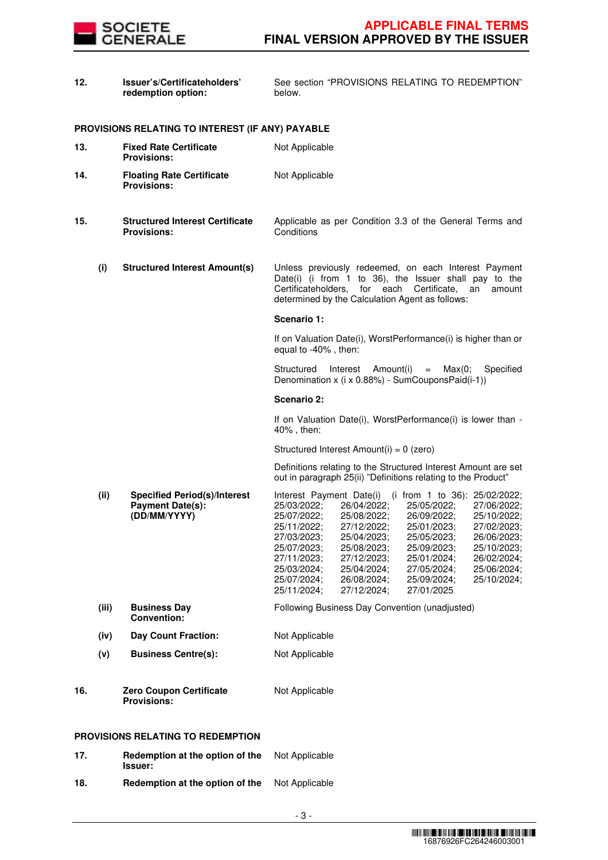

| 12. |       | Issuer's/Certificateholders'<br>redemption option:                             | See section "PROVISIONS RELATING TO REDEMPTION"<br>below.                                                                                                                                                                                                                                                                                                                                                                                                                                                                                                                                          |  |  |
|-----|-------|--------------------------------------------------------------------------------|----------------------------------------------------------------------------------------------------------------------------------------------------------------------------------------------------------------------------------------------------------------------------------------------------------------------------------------------------------------------------------------------------------------------------------------------------------------------------------------------------------------------------------------------------------------------------------------------------|--|--|
|     |       | PROVISIONS RELATING TO INTEREST (IF ANY) PAYABLE                               |                                                                                                                                                                                                                                                                                                                                                                                                                                                                                                                                                                                                    |  |  |
| 13. |       | <b>Fixed Rate Certificate</b><br><b>Provisions:</b>                            | Not Applicable                                                                                                                                                                                                                                                                                                                                                                                                                                                                                                                                                                                     |  |  |
| 14. |       | <b>Floating Rate Certificate</b><br><b>Provisions:</b>                         | Not Applicable                                                                                                                                                                                                                                                                                                                                                                                                                                                                                                                                                                                     |  |  |
| 15. |       | <b>Structured Interest Certificate</b><br><b>Provisions:</b>                   | Applicable as per Condition 3.3 of the General Terms and<br>Conditions                                                                                                                                                                                                                                                                                                                                                                                                                                                                                                                             |  |  |
|     | (i)   | <b>Structured Interest Amount(s)</b>                                           | Unless previously redeemed, on each Interest Payment<br>Date(i) (i from 1 to 36), the Issuer shall pay to the<br>Certificateholders,<br>for each Certificate,<br>an<br>amount<br>determined by the Calculation Agent as follows:                                                                                                                                                                                                                                                                                                                                                                   |  |  |
|     |       |                                                                                | Scenario 1:                                                                                                                                                                                                                                                                                                                                                                                                                                                                                                                                                                                        |  |  |
|     |       |                                                                                | If on Valuation Date(i), WorstPerformance(i) is higher than or<br>equal to -40%, then:                                                                                                                                                                                                                                                                                                                                                                                                                                                                                                             |  |  |
|     |       |                                                                                | Structured<br>Interest<br>Amount(i)<br>Specified<br>Max(0;<br>$=$<br>Denomination x (i x 0.88%) - SumCouponsPaid(i-1))                                                                                                                                                                                                                                                                                                                                                                                                                                                                             |  |  |
|     |       |                                                                                | Scenario 2:                                                                                                                                                                                                                                                                                                                                                                                                                                                                                                                                                                                        |  |  |
|     |       |                                                                                | If on Valuation Date(i), WorstPerformance(i) is lower than -<br>40%, then:                                                                                                                                                                                                                                                                                                                                                                                                                                                                                                                         |  |  |
|     |       |                                                                                | Structured Interest Amount(i) = 0 (zero)                                                                                                                                                                                                                                                                                                                                                                                                                                                                                                                                                           |  |  |
|     |       |                                                                                | Definitions relating to the Structured Interest Amount are set<br>out in paragraph 25(ii) "Definitions relating to the Product"                                                                                                                                                                                                                                                                                                                                                                                                                                                                    |  |  |
|     | (ii)  | <b>Specified Period(s)/Interest</b><br><b>Payment Date(s):</b><br>(DD/MM/YYYY) | Interest Payment Date(i) (i from 1 to 36): 25/02/2022;<br>25/03/2022;<br>25/05/2022;<br>26/04/2022;<br>27/06/2022;<br>25/07/2022;<br>25/08/2022;<br>26/09/2022;<br>25/10/2022;<br>25/11/2022;<br>27/12/2022;<br>25/01/2023;<br>27/02/2023;<br>25/04/2023;<br>25/05/2023;<br>26/06/2023;<br>27/03/2023;<br>25/07/2023;<br>25/08/2023;<br>25/09/2023;<br>25/10/2023;<br>27/12/2023;<br>25/01/2024;<br>26/02/2024;<br>27/11/2023;<br>25/03/2024;<br>25/04/2024;<br>27/05/2024;<br>25/06/2024;<br>25/10/2024;<br>25/07/2024;<br>26/08/2024;<br>25/09/2024;<br>25/11/2024;<br>27/12/2024;<br>27/01/2025 |  |  |
|     | (iii) | <b>Business Day</b><br><b>Convention:</b>                                      | Following Business Day Convention (unadjusted)                                                                                                                                                                                                                                                                                                                                                                                                                                                                                                                                                     |  |  |
|     | (iv)  | <b>Day Count Fraction:</b>                                                     | Not Applicable                                                                                                                                                                                                                                                                                                                                                                                                                                                                                                                                                                                     |  |  |
|     | (v)   | <b>Business Centre(s):</b>                                                     | Not Applicable                                                                                                                                                                                                                                                                                                                                                                                                                                                                                                                                                                                     |  |  |
| 16. |       | <b>Zero Coupon Certificate</b><br><b>Provisions:</b>                           | Not Applicable                                                                                                                                                                                                                                                                                                                                                                                                                                                                                                                                                                                     |  |  |
|     |       | PROVISIONS RELATING TO REDEMPTION                                              |                                                                                                                                                                                                                                                                                                                                                                                                                                                                                                                                                                                                    |  |  |
| 17. |       | Redemption at the option of the<br>Issuer:                                     | Not Applicable                                                                                                                                                                                                                                                                                                                                                                                                                                                                                                                                                                                     |  |  |
| 18. |       | Redemption at the option of the                                                | Not Applicable                                                                                                                                                                                                                                                                                                                                                                                                                                                                                                                                                                                     |  |  |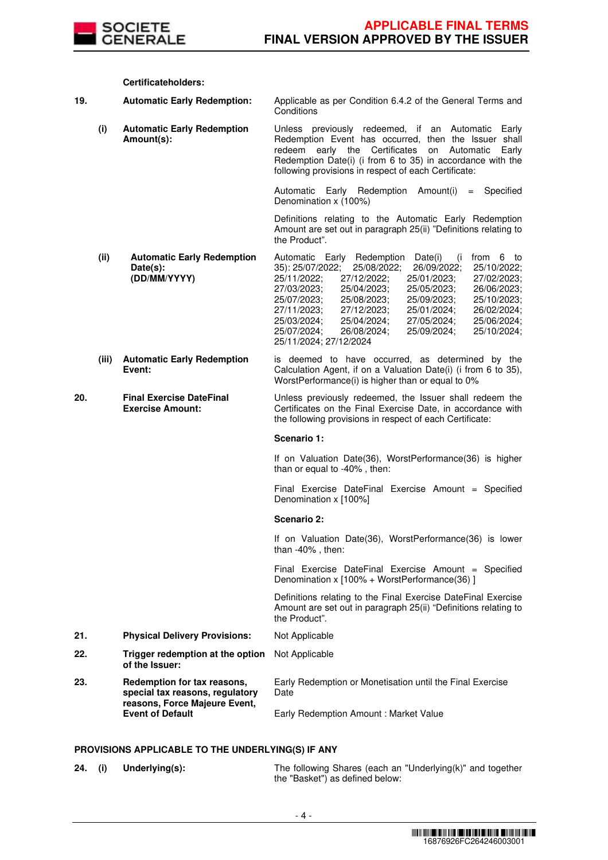

|     |       | Certificateholders:                                           |                                                                                                                                                                                                                                                                                                                                                                                                                                                                                                                              |  |
|-----|-------|---------------------------------------------------------------|------------------------------------------------------------------------------------------------------------------------------------------------------------------------------------------------------------------------------------------------------------------------------------------------------------------------------------------------------------------------------------------------------------------------------------------------------------------------------------------------------------------------------|--|
| 19. |       | <b>Automatic Early Redemption:</b>                            | Applicable as per Condition 6.4.2 of the General Terms and<br>Conditions<br>Unless previously redeemed, if an Automatic<br>Early<br>Redemption Event has occurred, then the Issuer shall<br>redeem early the Certificates<br>on<br>Automatic<br>Early<br>Redemption Date(i) (i from 6 to 35) in accordance with the<br>following provisions in respect of each Certificate:                                                                                                                                                  |  |
|     | (i)   | <b>Automatic Early Redemption</b><br>Amount(s):               |                                                                                                                                                                                                                                                                                                                                                                                                                                                                                                                              |  |
|     |       |                                                               | Automatic Early Redemption Amount(i)<br>Specified<br>$=$<br>Denomination x (100%)                                                                                                                                                                                                                                                                                                                                                                                                                                            |  |
|     |       |                                                               | Definitions relating to the Automatic Early Redemption<br>Amount are set out in paragraph 25(ii) "Definitions relating to<br>the Product".                                                                                                                                                                                                                                                                                                                                                                                   |  |
|     | (ii)  | <b>Automatic Early Redemption</b><br>Date(s):<br>(DD/MM/YYYY) | Automatic Early Redemption<br>from 6 to<br>Date(i)<br>(i)<br>35): 25/07/2022;<br>25/10/2022;<br>25/08/2022;<br>26/09/2022;<br>25/11/2022;<br>27/12/2022;<br>25/01/2023;<br>27/02/2023;<br>27/03/2023;<br>25/04/2023;<br>25/05/2023:<br>26/06/2023;<br>25/07/2023;<br>25/08/2023;<br>25/09/2023:<br>25/10/2023;<br>27/11/2023;<br>27/12/2023;<br>26/02/2024;<br>25/01/2024;<br>25/06/2024;<br>25/03/2024;<br>25/04/2024:<br>27/05/2024;<br>25/07/2024:<br>26/08/2024:<br>25/09/2024;<br>25/10/2024;<br>25/11/2024; 27/12/2024 |  |
|     | (iii) | <b>Automatic Early Redemption</b><br>Event:                   | is deemed to have occurred, as determined by the<br>Calculation Agent, if on a Valuation Date(i) (i from 6 to 35),<br>WorstPerformance(i) is higher than or equal to 0%                                                                                                                                                                                                                                                                                                                                                      |  |
| 20. |       | <b>Final Exercise DateFinal</b><br><b>Exercise Amount:</b>    | Unless previously redeemed, the Issuer shall redeem the<br>Certificates on the Final Exercise Date, in accordance with<br>the following provisions in respect of each Certificate:                                                                                                                                                                                                                                                                                                                                           |  |

#### **Scenario 1:**

If on Valuation Date(36), WorstPerformance(36) is higher than or equal to -40% , then:

Final Exercise DateFinal Exercise Amount = Specified Denomination x [100%]

#### **Scenario 2:**

If on Valuation Date(36), WorstPerformance(36) is lower than -40% , then:

Final Exercise DateFinal Exercise Amount = Specified Denomination x [100% + WorstPerformance(36) ]

 Definitions relating to the Final Exercise DateFinal Exercise Amount are set out in paragraph 25(ii) "Definitions relating to the Product".

- **21. Physical Delivery Provisions:** Not Applicable
- **22. Trigger redemption at the option of the Issuer:** Not Applicable **23. Redemption for tax reasons, special tax reasons, regulatory reasons, Force Majeure Event, Event of Default** Early Redemption or Monetisation until the Final Exercise Date Early Redemption Amount : Market Value

## **PROVISIONS APPLICABLE TO THE UNDERLYING(S) IF ANY**

**24. (i) Underlying(s):** The following Shares (each an "Underlying(k)" and together the "Basket") as defined below: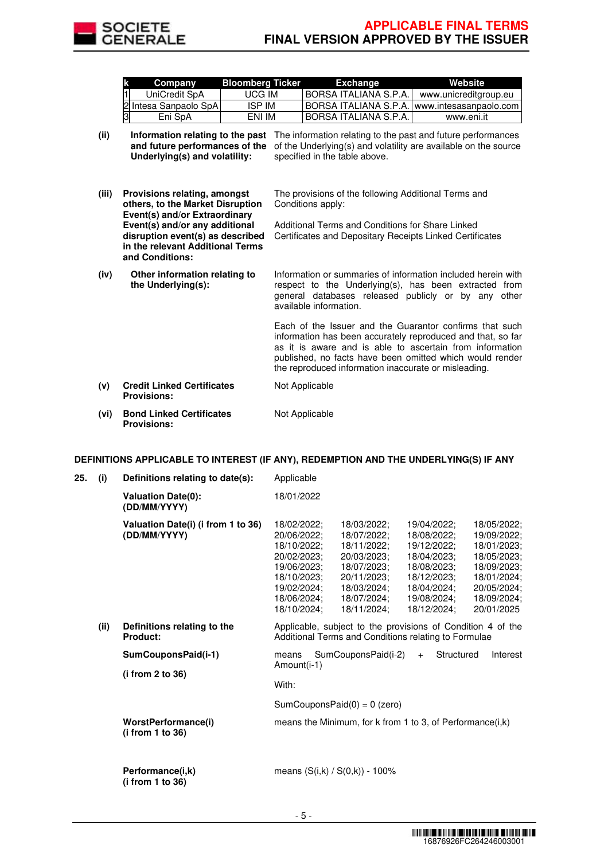

**and Conditions:**

published, no facts have been omitted which would render

| k | <b>Company</b>         | <b>Bloomberg Ticker</b> | <b>Exchange</b>               | Website                                                  |
|---|------------------------|-------------------------|-------------------------------|----------------------------------------------------------|
| 1 | UniCredit SpA          | UCG IM                  | IBORSA ITALIANA S.P.A.        | www.unicreditgroup.eu                                    |
|   | 2 Intesa Sanpaolo SpAI | <b>ISP IM</b>           |                               | <b>IBORSA ITALIANA S.P.A. I www.intesasanpaolo.com I</b> |
| 3 | Eni SpA                | ENI IM                  | <b>IBORSA ITALIANA S.P.A.</b> | www.eni.it                                               |

- (ii) **Information relating to the past** The information relating to the past and future performances **and future performances of the** of the Underlying(s) and volatility are available on the source **Underlying(s) and volatility:** specified in the table above.
- **(iii) Provisions relating, amongst others, to the Market Disruption Event(s) and/or Extraordinary Event(s) and/or any additional disruption event(s) as described in the relevant Additional Terms**  The provisions of the following Additional Terms and Conditions apply: Additional Terms and Conditions for Share Linked Certificates and Depositary Receipts Linked Certificates
- **(iv) Other information relating to the Underlying(s):** Information or summaries of information included herein with respect to the Underlying(s), has been extracted from general databases released publicly or by any other available information. Each of the Issuer and the Guarantor confirms that such information has been accurately reproduced and that, so far as it is aware and is able to ascertain from information
- the reproduced information inaccurate or misleading. **(v) Credit Linked Certificates Provisions:** Not Applicable **(vi) Bond Linked Certificates Provisions:** Not Applicable

## **DEFINITIONS APPLICABLE TO INTEREST (IF ANY), REDEMPTION AND THE UNDERLYING(S) IF ANY**

| 25. | (i)  | Definitions relating to date(s):                   | Applicable                                                                                                                                                                                                                                                                                                                                                                                                                                                                                                                                              |  |  |
|-----|------|----------------------------------------------------|---------------------------------------------------------------------------------------------------------------------------------------------------------------------------------------------------------------------------------------------------------------------------------------------------------------------------------------------------------------------------------------------------------------------------------------------------------------------------------------------------------------------------------------------------------|--|--|
|     |      | <b>Valuation Date(0):</b><br>(DD/MM/YYYY)          | 18/01/2022                                                                                                                                                                                                                                                                                                                                                                                                                                                                                                                                              |  |  |
|     |      | Valuation Date(i) (i from 1 to 36)<br>(DD/MM/YYYY) | 18/02/2022;<br>18/03/2022;<br>18/05/2022;<br>19/04/2022:<br>18/07/2022;<br>20/06/2022;<br>18/08/2022;<br>19/09/2022;<br>18/10/2022;<br>18/11/2022;<br>19/12/2022;<br>18/01/2023;<br>20/02/2023:<br>18/04/2023:<br>18/05/2023;<br>20/03/2023:<br>19/06/2023;<br>18/07/2023;<br>18/08/2023;<br>18/09/2023;<br>18/10/2023:<br>20/11/2023:<br>18/12/2023:<br>18/01/2024;<br>20/05/2024;<br>19/02/2024;<br>18/03/2024;<br>18/04/2024;<br>18/06/2024;<br>19/08/2024;<br>18/09/2024;<br>18/07/2024;<br>18/10/2024:<br>18/11/2024:<br>18/12/2024:<br>20/01/2025 |  |  |
|     | (ii) | Definitions relating to the<br>Product:            | Applicable, subject to the provisions of Condition 4 of the<br>Additional Terms and Conditions relating to Formulae                                                                                                                                                                                                                                                                                                                                                                                                                                     |  |  |
|     |      | SumCouponsPaid(i-1)<br>(i from 2 to 36)            | SumCouponsPaid(i-2)<br>Structured<br>Interest<br>means<br>$+$<br>Amount(i-1)<br>With:                                                                                                                                                                                                                                                                                                                                                                                                                                                                   |  |  |
|     |      |                                                    | SumCouponsPaid $(0) = 0$ (zero)                                                                                                                                                                                                                                                                                                                                                                                                                                                                                                                         |  |  |
|     |      | WorstPerformance(i)<br>(i from 1 to 36)            | means the Minimum, for k from 1 to 3, of Performance(i,k)                                                                                                                                                                                                                                                                                                                                                                                                                                                                                               |  |  |
|     |      | Performance(i,k)<br>(i from 1 to 36)               | means $(S(i,k) / S(0,k)) - 100\%$                                                                                                                                                                                                                                                                                                                                                                                                                                                                                                                       |  |  |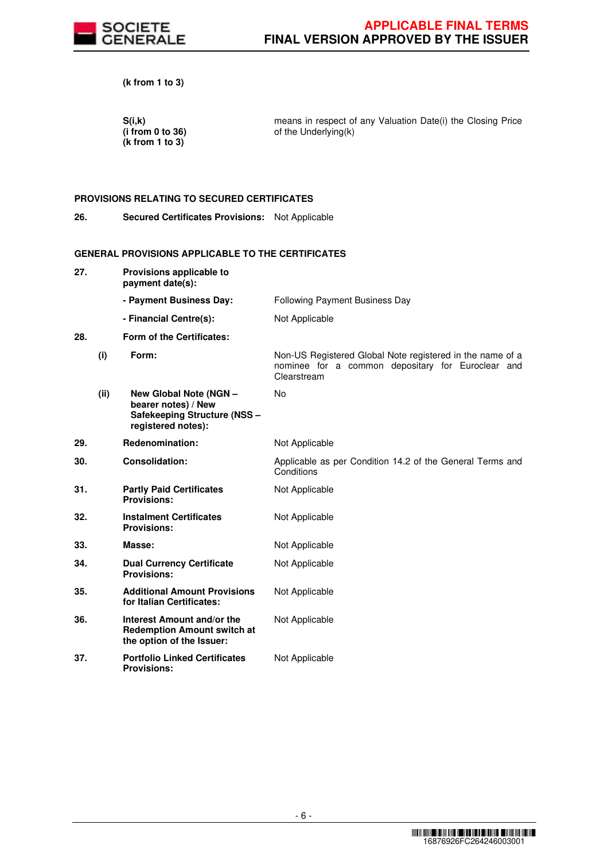

**(k from 1 to 3)** 

 **S(i,k) (i from 0 to 36) (k from 1 to 3)** 

means in respect of any Valuation Date(i) the Closing Price of the Underlying(k)

# **PROVISIONS RELATING TO SECURED CERTIFICATES**

**26. Secured Certificates Provisions:** Not Applicable

# **GENERAL PROVISIONS APPLICABLE TO THE CERTIFICATES**

| 27. |      | Provisions applicable to<br>payment date(s):                                                        |                                                                                                                               |
|-----|------|-----------------------------------------------------------------------------------------------------|-------------------------------------------------------------------------------------------------------------------------------|
|     |      | - Payment Business Day:                                                                             | <b>Following Payment Business Day</b>                                                                                         |
|     |      | - Financial Centre(s):                                                                              | Not Applicable                                                                                                                |
| 28. |      | Form of the Certificates:                                                                           |                                                                                                                               |
|     | (i)  | Form:                                                                                               | Non-US Registered Global Note registered in the name of a<br>nominee for a common depositary for Euroclear and<br>Clearstream |
|     | (ii) | New Global Note (NGN -<br>bearer notes) / New<br>Safekeeping Structure (NSS -<br>registered notes): | No                                                                                                                            |
| 29. |      | Redenomination:                                                                                     | Not Applicable                                                                                                                |
| 30. |      | <b>Consolidation:</b>                                                                               | Applicable as per Condition 14.2 of the General Terms and<br>Conditions                                                       |
| 31. |      | <b>Partly Paid Certificates</b><br><b>Provisions:</b>                                               | Not Applicable                                                                                                                |
| 32. |      | <b>Instalment Certificates</b><br><b>Provisions:</b>                                                | Not Applicable                                                                                                                |
| 33. |      | Masse:                                                                                              | Not Applicable                                                                                                                |
| 34. |      | <b>Dual Currency Certificate</b><br><b>Provisions:</b>                                              | Not Applicable                                                                                                                |
| 35. |      | <b>Additional Amount Provisions</b><br>for Italian Certificates:                                    | Not Applicable                                                                                                                |
| 36. |      | Interest Amount and/or the<br><b>Redemption Amount switch at</b><br>the option of the Issuer:       | Not Applicable                                                                                                                |
| 37. |      | <b>Portfolio Linked Certificates</b><br><b>Provisions:</b>                                          | Not Applicable                                                                                                                |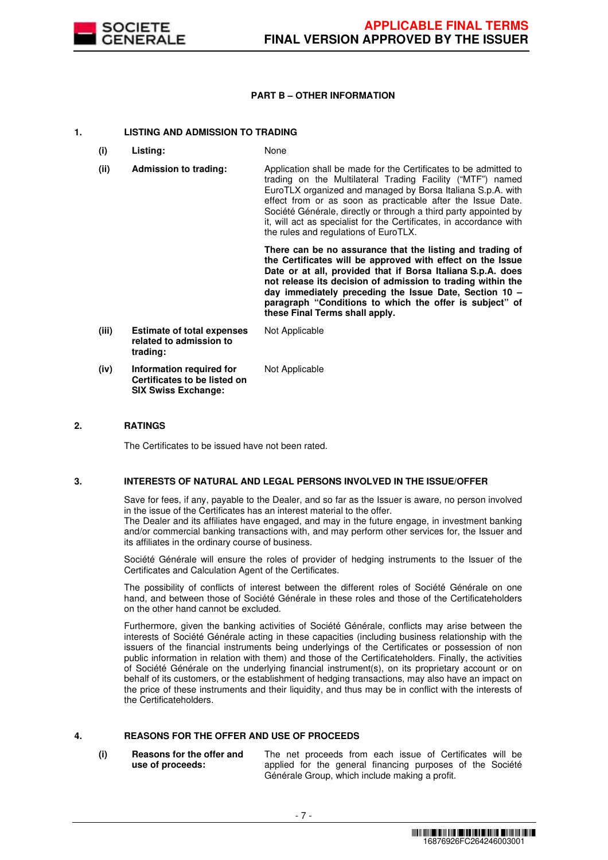

## **PART B – OTHER INFORMATION**

## **1. LISTING AND ADMISSION TO TRADING**

- **(i) Listing:** None
- **(ii) Admission to trading:** Application shall be made for the Certificates to be admitted to trading on the Multilateral Trading Facility ("MTF") named EuroTLX organized and managed by Borsa Italiana S.p.A. with effect from or as soon as practicable after the Issue Date. Société Générale, directly or through a third party appointed by it, will act as specialist for the Certificates, in accordance with the rules and regulations of EuroTLX.

 **There can be no assurance that the listing and trading of the Certificates will be approved with effect on the Issue Date or at all, provided that if Borsa Italiana S.p.A. does not release its decision of admission to trading within the day immediately preceding the Issue Date, Section 10 – paragraph "Conditions to which the offer is subject" of these Final Terms shall apply.**

**(iii) Estimate of total expenses related to admission to trading:** Not Applicable **(iv) Information required for Certificates to be listed on SIX Swiss Exchange:** Not Applicable

# **2. RATINGS**

The Certificates to be issued have not been rated.

## **3. INTERESTS OF NATURAL AND LEGAL PERSONS INVOLVED IN THE ISSUE/OFFER**

 Save for fees, if any, payable to the Dealer, and so far as the Issuer is aware, no person involved in the issue of the Certificates has an interest material to the offer.

The Dealer and its affiliates have engaged, and may in the future engage, in investment banking and/or commercial banking transactions with, and may perform other services for, the Issuer and its affiliates in the ordinary course of business.

 Société Générale will ensure the roles of provider of hedging instruments to the Issuer of the Certificates and Calculation Agent of the Certificates.

 The possibility of conflicts of interest between the different roles of Société Générale on one hand, and between those of Société Générale in these roles and those of the Certificateholders on the other hand cannot be excluded.

 Furthermore, given the banking activities of Société Générale, conflicts may arise between the interests of Société Générale acting in these capacities (including business relationship with the issuers of the financial instruments being underlyings of the Certificates or possession of non public information in relation with them) and those of the Certificateholders. Finally, the activities of Société Générale on the underlying financial instrument(s), on its proprietary account or on behalf of its customers, or the establishment of hedging transactions, may also have an impact on the price of these instruments and their liquidity, and thus may be in conflict with the interests of the Certificateholders.

# **4. REASONS FOR THE OFFER AND USE OF PROCEEDS**

**(i) Reasons for the offer and use of proceeds:**

The net proceeds from each issue of Certificates will be applied for the general financing purposes of the Société Générale Group, which include making a profit.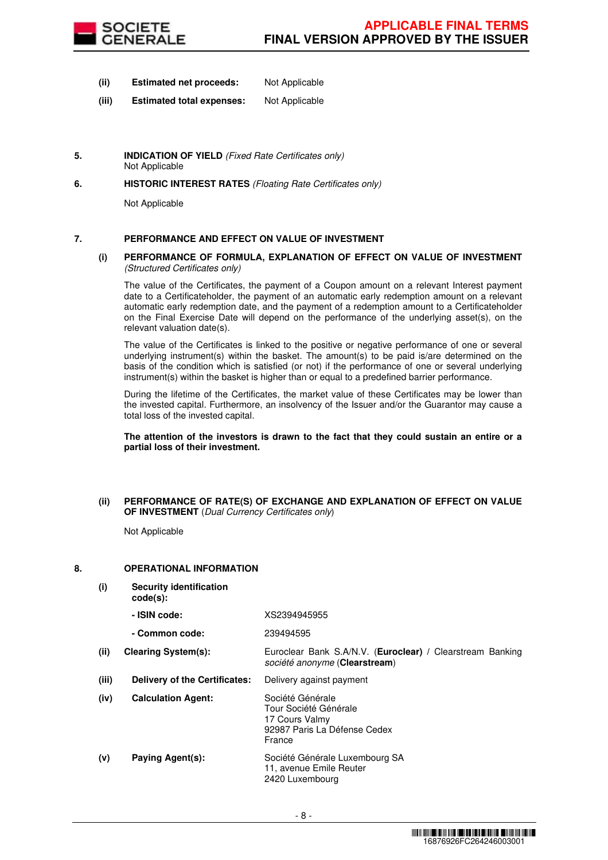

- **(ii) Estimated net proceeds:** Not Applicable
- **(iii) Estimated total expenses:** Not Applicable
- **5. INDICATION OF YIELD** (Fixed Rate Certificates only) Not Applicable
- **6. HISTORIC INTEREST RATES** (Floating Rate Certificates only)

Not Applicable

## **7. PERFORMANCE AND EFFECT ON VALUE OF INVESTMENT**

## **(i) PERFORMANCE OF FORMULA, EXPLANATION OF EFFECT ON VALUE OF INVESTMENT**  (Structured Certificates only)

 The value of the Certificates, the payment of a Coupon amount on a relevant Interest payment date to a Certificateholder, the payment of an automatic early redemption amount on a relevant automatic early redemption date, and the payment of a redemption amount to a Certificateholder on the Final Exercise Date will depend on the performance of the underlying asset(s), on the relevant valuation date(s).

 The value of the Certificates is linked to the positive or negative performance of one or several underlying instrument(s) within the basket. The amount(s) to be paid is/are determined on the basis of the condition which is satisfied (or not) if the performance of one or several underlying instrument(s) within the basket is higher than or equal to a predefined barrier performance.

 During the lifetime of the Certificates, the market value of these Certificates may be lower than the invested capital. Furthermore, an insolvency of the Issuer and/or the Guarantor may cause a total loss of the invested capital.

**The attention of the investors is drawn to the fact that they could sustain an entire or a partial loss of their investment.**

## **(ii) PERFORMANCE OF RATE(S) OF EXCHANGE AND EXPLANATION OF EFFECT ON VALUE OF INVESTMENT** (Dual Currency Certificates only)

Not Applicable

## **8. OPERATIONAL INFORMATION**

**(i) Security identification code(s): - ISIN code:** XS2394945955 **- Common code:** 239494595 **(ii) Clearing System(s):** Euroclear Bank S.A/N.V. (**Euroclear) /** Clearstream Banking société anonyme (**Clearstream**) **(iii) Delivery of the Certificates:** Delivery against payment **(iv) Calculation Agent:** Société Générale Tour Société Générale 17 Cours Valmy 92987 Paris La Défense Cedex France **(v) Paying Agent(s):** Société Générale Luxembourg SA 11, avenue Emile Reuter 2420 Luxembourg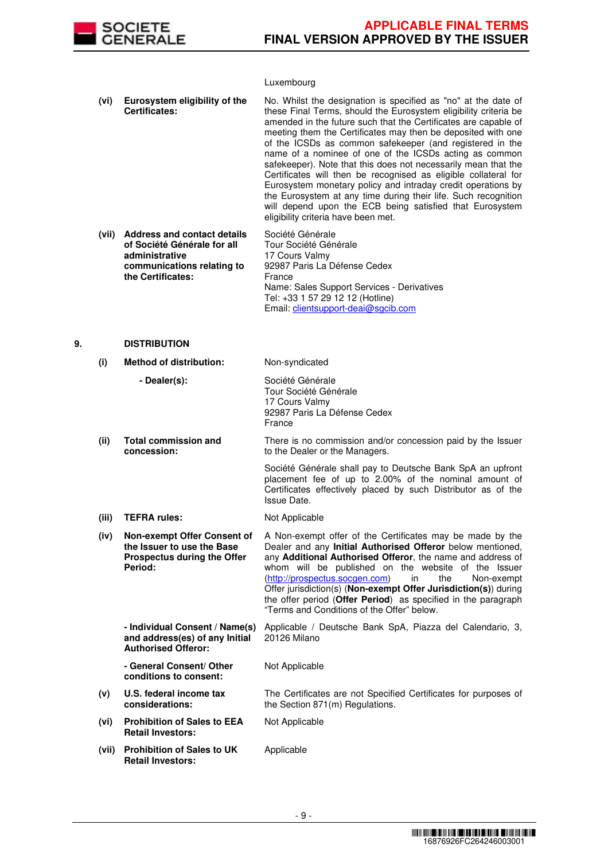

## Luxembourg

|    | (vi)  | Eurosystem eligibility of the<br>Certificates:                                                                                         | No. Whilst the designation is specified as "no" at the date of<br>these Final Terms, should the Eurosystem eligibility criteria be<br>amended in the future such that the Certificates are capable of<br>meeting them the Certificates may then be deposited with one<br>of the ICSDs as common safekeeper (and registered in the<br>name of a nominee of one of the ICSDs acting as common<br>safekeeper). Note that this does not necessarily mean that the<br>Certificates will then be recognised as eligible collateral for<br>Eurosystem monetary policy and intraday credit operations by<br>the Eurosystem at any time during their life. Such recognition<br>will depend upon the ECB being satisfied that Eurosystem<br>eligibility criteria have been met. |
|----|-------|----------------------------------------------------------------------------------------------------------------------------------------|-----------------------------------------------------------------------------------------------------------------------------------------------------------------------------------------------------------------------------------------------------------------------------------------------------------------------------------------------------------------------------------------------------------------------------------------------------------------------------------------------------------------------------------------------------------------------------------------------------------------------------------------------------------------------------------------------------------------------------------------------------------------------|
|    | (vii) | <b>Address and contact details</b><br>of Société Générale for all<br>administrative<br>communications relating to<br>the Certificates: | Société Générale<br>Tour Société Générale<br>17 Cours Valmy<br>92987 Paris La Défense Cedex<br>France<br>Name: Sales Support Services - Derivatives<br>Tel: +33 1 57 29 12 12 (Hotline)<br>Email: clientsupport-deai@sgcib.com                                                                                                                                                                                                                                                                                                                                                                                                                                                                                                                                        |
| 9. |       | <b>DISTRIBUTION</b>                                                                                                                    |                                                                                                                                                                                                                                                                                                                                                                                                                                                                                                                                                                                                                                                                                                                                                                       |
|    | (i)   | <b>Method of distribution:</b>                                                                                                         | Non-syndicated                                                                                                                                                                                                                                                                                                                                                                                                                                                                                                                                                                                                                                                                                                                                                        |
|    |       | - Dealer(s):                                                                                                                           | Société Générale<br>Tour Société Générale                                                                                                                                                                                                                                                                                                                                                                                                                                                                                                                                                                                                                                                                                                                             |

17 Cours Valmy 92987 Paris La Défense Cedex France **(ii) Total commission and concession:** There is no commission and/or concession paid by the Issuer to the Dealer or the Managers. Société Générale shall pay to Deutsche Bank SpA an upfront placement fee of up to 2.00% of the nominal amount of Certificates effectively placed by such Distributor as of the Issue Date. (iii) **TEFRA rules:** Not Applicable **(iv) Non-exempt Offer Consent of the Issuer to use the Base Prospectus during the Offer Period:** A Non-exempt offer of the Certificates may be made by the Dealer and any **Initial Authorised Offeror** below mentioned, any **Additional Authorised Offeror**, the name and address of whom will be published on the website of the Issuer (http://prospectus.socgen.com) in the Non-exempt Offer jurisdiction(s) (**Non-exempt Offer Jurisdiction(s)**) during the offer period (**Offer Period**) as specified in the paragraph "Terms and Conditions of the Offer" below. **- Individual Consent / Name(s) and address(es) of any Initial Authorised Offeror:** Applicable / Deutsche Bank SpA, Piazza del Calendario, 3, 20126 Milano **- General Consent/ Other conditions to consent:** Not Applicable **(v) U.S. federal income tax considerations:** The Certificates are not Specified Certificates for purposes of the Section 871(m) Regulations. **(vi) Prohibition of Sales to EEA Retail Investors:** Not Applicable **(vii) Prohibition of Sales to UK Retail Investors:** Applicable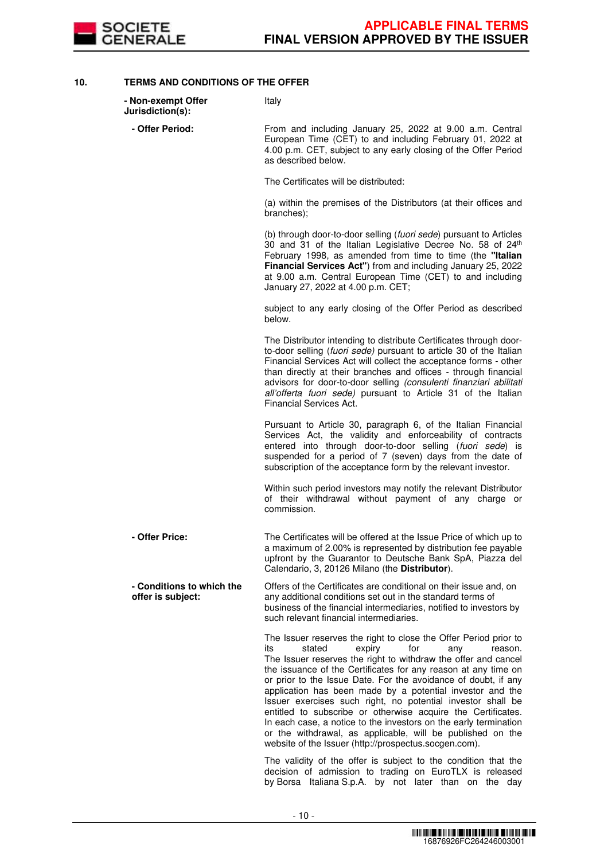

**10. TERMS AND CONDITIONS OF THE OFFER**

| - Non-exempt Offer<br>Jurisdiction(s):         | Italy                                                                                                                                                                                                                                                                                                                                                                                                                                                                                                                                                                                                                                                                                                             |
|------------------------------------------------|-------------------------------------------------------------------------------------------------------------------------------------------------------------------------------------------------------------------------------------------------------------------------------------------------------------------------------------------------------------------------------------------------------------------------------------------------------------------------------------------------------------------------------------------------------------------------------------------------------------------------------------------------------------------------------------------------------------------|
| - Offer Period:                                | From and including January 25, 2022 at 9.00 a.m. Central<br>European Time (CET) to and including February 01, 2022 at<br>4.00 p.m. CET, subject to any early closing of the Offer Period<br>as described below.                                                                                                                                                                                                                                                                                                                                                                                                                                                                                                   |
|                                                | The Certificates will be distributed:                                                                                                                                                                                                                                                                                                                                                                                                                                                                                                                                                                                                                                                                             |
|                                                | (a) within the premises of the Distributors (at their offices and<br>branches);                                                                                                                                                                                                                                                                                                                                                                                                                                                                                                                                                                                                                                   |
|                                                | (b) through door-to-door selling (fuori sede) pursuant to Articles<br>30 and 31 of the Italian Legislative Decree No. 58 of 24th<br>February 1998, as amended from time to time (the "Italian<br>Financial Services Act") from and including January 25, 2022<br>at 9.00 a.m. Central European Time (CET) to and including<br>January 27, 2022 at 4.00 p.m. CET;                                                                                                                                                                                                                                                                                                                                                  |
|                                                | subject to any early closing of the Offer Period as described<br>below.                                                                                                                                                                                                                                                                                                                                                                                                                                                                                                                                                                                                                                           |
|                                                | The Distributor intending to distribute Certificates through door-<br>to-door selling (fuori sede) pursuant to article 30 of the Italian<br>Financial Services Act will collect the acceptance forms - other<br>than directly at their branches and offices - through financial<br>advisors for door-to-door selling (consulenti finanziari abilitati<br>all'offerta fuori sede) pursuant to Article 31 of the Italian<br>Financial Services Act.                                                                                                                                                                                                                                                                 |
|                                                | Pursuant to Article 30, paragraph 6, of the Italian Financial<br>Services Act, the validity and enforceability of contracts<br>entered into through door-to-door selling (fuori sede) is<br>suspended for a period of 7 (seven) days from the date of<br>subscription of the acceptance form by the relevant investor.                                                                                                                                                                                                                                                                                                                                                                                            |
|                                                | Within such period investors may notify the relevant Distributor<br>of their withdrawal without payment of any charge or<br>commission.                                                                                                                                                                                                                                                                                                                                                                                                                                                                                                                                                                           |
| - Offer Price:                                 | The Certificates will be offered at the Issue Price of which up to<br>a maximum of 2.00% is represented by distribution fee payable<br>upfront by the Guarantor to Deutsche Bank SpA, Piazza del<br>Calendario, 3, 20126 Milano (the Distributor).                                                                                                                                                                                                                                                                                                                                                                                                                                                                |
| - Conditions to which the<br>offer is subject: | Offers of the Certificates are conditional on their issue and, on<br>any additional conditions set out in the standard terms of<br>business of the financial intermediaries, notified to investors by<br>such relevant financial intermediaries.                                                                                                                                                                                                                                                                                                                                                                                                                                                                  |
|                                                | The Issuer reserves the right to close the Offer Period prior to<br>its<br>stated<br>for<br>expiry<br>reason.<br>any<br>The Issuer reserves the right to withdraw the offer and cancel<br>the issuance of the Certificates for any reason at any time on<br>or prior to the Issue Date. For the avoidance of doubt, if any<br>application has been made by a potential investor and the<br>Issuer exercises such right, no potential investor shall be<br>entitled to subscribe or otherwise acquire the Certificates.<br>In each case, a notice to the investors on the early termination<br>or the withdrawal, as applicable, will be published on the<br>website of the Issuer (http://prospectus.socgen.com). |
|                                                | The validity of the offer is subject to the condition that the<br>decision of admission to trading on EuroTLX is released                                                                                                                                                                                                                                                                                                                                                                                                                                                                                                                                                                                         |

by Borsa Italiana S.p.A. by not later than on the day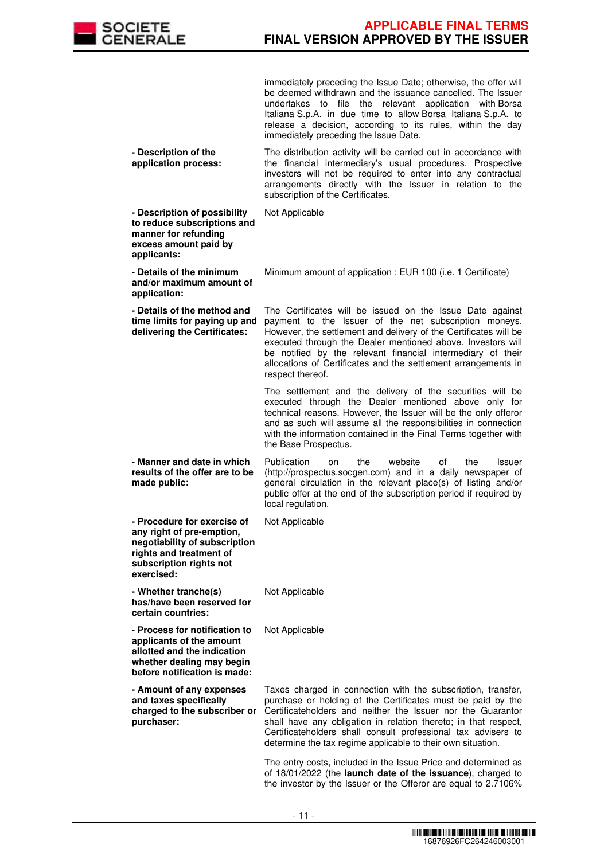

immediately preceding the Issue Date; otherwise, the offer will be deemed withdrawn and the issuance cancelled. The Issuer undertakes to file the relevant application with Borsa Italiana S.p.A. in due time to allow Borsa Italiana S.p.A. to release a decision, according to its rules, within the day immediately preceding the Issue Date.

 **- Description of the application process:** The distribution activity will be carried out in accordance with the financial intermediary's usual procedures. Prospective investors will not be required to enter into any contractual arrangements directly with the Issuer in relation to the subscription of the Certificates.

 **- Description of possibility to reduce subscriptions and manner for refunding excess amount paid by applicants:** Not Applicable **- Details of the minimum and/or maximum amount of application:** Minimum amount of application : EUR 100 (i.e. 1 Certificate) **- Details of the method and time limits for paying up and delivering the Certificates:** The Certificates will be issued on the Issue Date against payment to the Issuer of the net subscription moneys. However, the settlement and delivery of the Certificates will be executed through the Dealer mentioned above. Investors will be notified by the relevant financial intermediary of their allocations of Certificates and the settlement arrangements in respect thereof. The settlement and the delivery of the securities will be executed through the Dealer mentioned above only for technical reasons. However, the Issuer will be the only offeror and as such will assume all the responsibilities in connection with the information contained in the Final Terms together with the Base Prospectus. **- Manner and date in which results of the offer are to be made public:** Publication on the website of the Issuer (http://prospectus.socgen.com) and in a daily newspaper of general circulation in the relevant place(s) of listing and/or public offer at the end of the subscription period if required by local regulation. **- Procedure for exercise of any right of pre-emption, negotiability of subscription rights and treatment of subscription rights not exercised:** Not Applicable **- Whether tranche(s) has/have been reserved for certain countries:** Not Applicable **- Process for notification to applicants of the amount allotted and the indication whether dealing may begin before notification is made:** Not Applicable **- Amount of any expenses and taxes specifically charged to the subscriber or purchaser:** Taxes charged in connection with the subscription, transfer, purchase or holding of the Certificates must be paid by the Certificateholders and neither the Issuer nor the Guarantor shall have any obligation in relation thereto; in that respect, Certificateholders shall consult professional tax advisers to determine the tax regime applicable to their own situation. The entry costs, included in the Issue Price and determined as of 18/01/2022 (the **launch date of the issuance**), charged to

the investor by the Issuer or the Offeror are equal to 2.7106%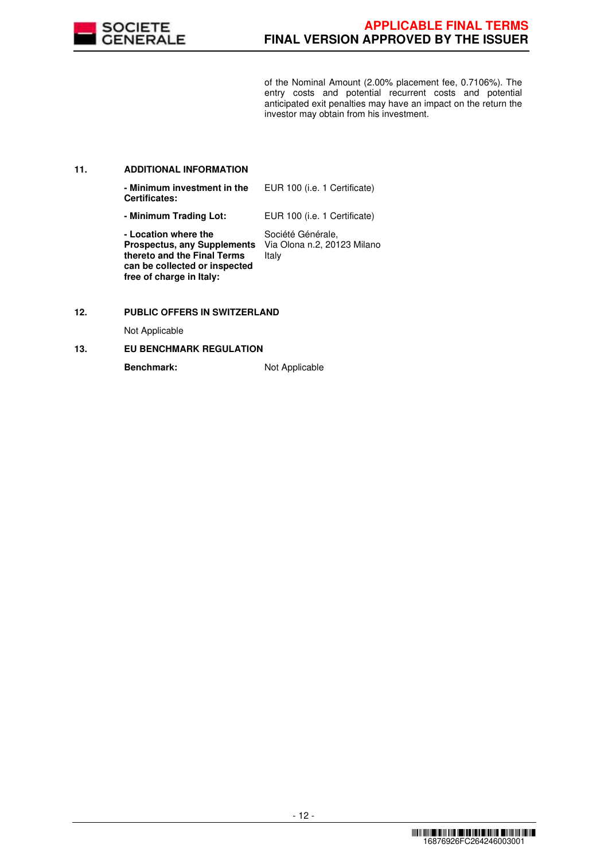

of the Nominal Amount (2.00% placement fee, 0.7106%). The entry costs and potential recurrent costs and potential anticipated exit penalties may have an impact on the return the investor may obtain from his investment.

## **11. ADDITIONAL INFORMATION**

| - Minimum investment in the<br><b>Certificates:</b>                                                                                                    | EUR 100 (i.e. 1 Certificate)                              |
|--------------------------------------------------------------------------------------------------------------------------------------------------------|-----------------------------------------------------------|
| - Minimum Trading Lot:                                                                                                                                 | EUR 100 (i.e. 1 Certificate)                              |
| - Location where the<br><b>Prospectus, any Supplements</b><br>thereto and the Final Terms<br>can be collected or inspected<br>free of charge in Italy: | Société Générale,<br>Via Olona n.2, 20123 Milano<br>Italy |

# **12. PUBLIC OFFERS IN SWITZERLAND**

Not Applicable

## **13. EU BENCHMARK REGULATION**

**Benchmark:** Not Applicable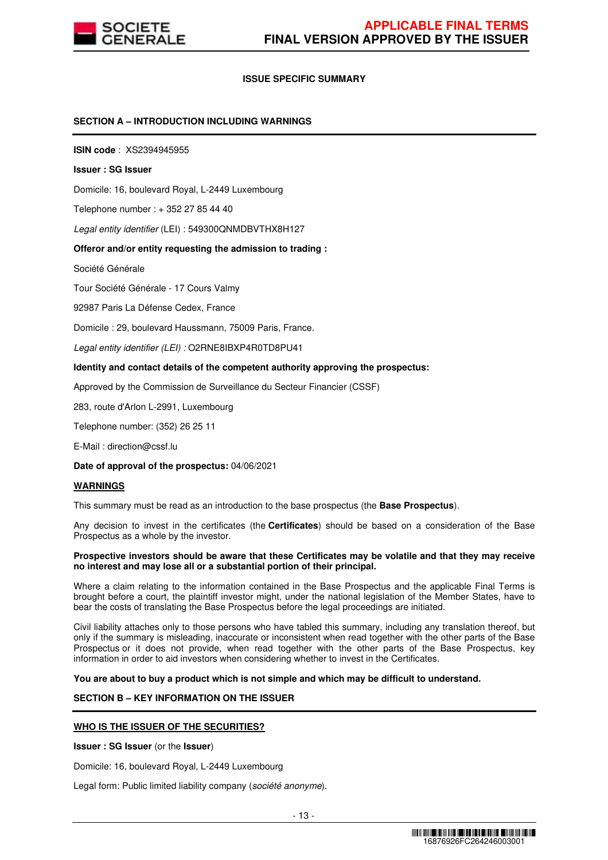

## **ISSUE SPECIFIC SUMMARY**

## **SECTION A – INTRODUCTION INCLUDING WARNINGS**

**ISIN code** : XS2394945955

#### **Issuer : SG Issuer**

Domicile: 16, boulevard Royal, L-2449 Luxembourg

Telephone number : + 352 27 85 44 40

Legal entity identifier (LEI) : 549300QNMDBVTHX8H127

#### **Offeror and/or entity requesting the admission to trading :**

Société Générale

Tour Société Générale - 17 Cours Valmy

92987 Paris La Défense Cedex, France

Domicile : 29, boulevard Haussmann, 75009 Paris, France.

Legal entity identifier (LEI) : O2RNE8IBXP4R0TD8PU41

#### **Identity and contact details of the competent authority approving the prospectus:**

Approved by the Commission de Surveillance du Secteur Financier (CSSF)

283, route d'Arlon L-2991, Luxembourg

Telephone number: (352) 26 25 11

E-Mail : direction@cssf.lu

**Date of approval of the prospectus:** 04/06/2021

#### **WARNINGS**

This summary must be read as an introduction to the base prospectus (the **Base Prospectus**).

Any decision to invest in the certificates (the **Certificates**) should be based on a consideration of the Base Prospectus as a whole by the investor.

#### **Prospective investors should be aware that these Certificates may be volatile and that they may receive no interest and may lose all or a substantial portion of their principal.**

Where a claim relating to the information contained in the Base Prospectus and the applicable Final Terms is brought before a court, the plaintiff investor might, under the national legislation of the Member States, have to bear the costs of translating the Base Prospectus before the legal proceedings are initiated.

Civil liability attaches only to those persons who have tabled this summary, including any translation thereof, but only if the summary is misleading, inaccurate or inconsistent when read together with the other parts of the Base Prospectus or it does not provide, when read together with the other parts of the Base Prospectus, key information in order to aid investors when considering whether to invest in the Certificates.

**You are about to buy a product which is not simple and which may be difficult to understand.**

# **SECTION B – KEY INFORMATION ON THE ISSUER**

## **WHO IS THE ISSUER OF THE SECURITIES?**

**Issuer : SG Issuer** (or the **Issuer**)

Domicile: 16, boulevard Royal, L-2449 Luxembourg

Legal form: Public limited liability company (société anonyme).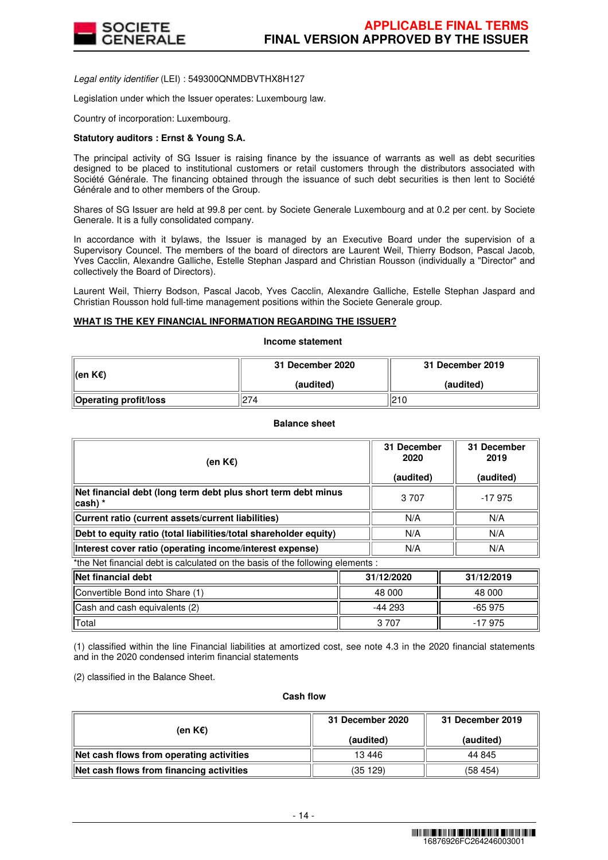

Legal entity identifier (LEI) : 549300QNMDBVTHX8H127

Legislation under which the Issuer operates: Luxembourg law.

Country of incorporation: Luxembourg.

## **Statutory auditors : Ernst & Young S.A.**

The principal activity of SG Issuer is raising finance by the issuance of warrants as well as debt securities designed to be placed to institutional customers or retail customers through the distributors associated with Société Générale. The financing obtained through the issuance of such debt securities is then lent to Société Générale and to other members of the Group.

Shares of SG Issuer are held at 99.8 per cent. by Societe Generale Luxembourg and at 0.2 per cent. by Societe Generale. It is a fully consolidated company.

In accordance with it bylaws, the Issuer is managed by an Executive Board under the supervision of a Supervisory Councel. The members of the board of directors are Laurent Weil, Thierry Bodson, Pascal Jacob, Yves Cacclin, Alexandre Galliche, Estelle Stephan Jaspard and Christian Rousson (individually a "Director" and collectively the Board of Directors).

Laurent Weil, Thierry Bodson, Pascal Jacob, Yves Cacclin, Alexandre Galliche, Estelle Stephan Jaspard and Christian Rousson hold full-time management positions within the Societe Generale group.

## **WHAT IS THE KEY FINANCIAL INFORMATION REGARDING THE ISSUER?**

**Income statement**

| ∥(en K€)                     | 31 December 2020 | 31 December 2019 |  |
|------------------------------|------------------|------------------|--|
|                              | (audited)        | (audited)        |  |
| <b>Operating profit/loss</b> | 274              | 210              |  |

## **Balance sheet**

| (en K€)                                                                        | 31 December<br>2020<br>(audited) | 31 December<br>2019<br>(audited) |
|--------------------------------------------------------------------------------|----------------------------------|----------------------------------|
| Net financial debt (long term debt plus short term debt minus<br>∣cash) *      | 3 7 0 7                          | -17975                           |
| Current ratio (current assets/current liabilities)                             | N/A                              | N/A                              |
| Debt to equity ratio (total liabilities/total shareholder equity)              | N/A                              | N/A                              |
| Interest cover ratio (operating income/interest expense)                       | N/A                              | N/A                              |
| *the Net financial debt is calculated on the basis of the following elements : |                                  |                                  |

| <b>Net financial debt</b>       | 31/12/2020 | 31/12/2019 |
|---------------------------------|------------|------------|
| Convertible Bond into Share (1) | 48 000     | 48 000     |
| Cash and cash equivalents (2)   | -44 293    | $-65975$   |
| Total                           | 3 7 0 7    | $-17975$   |

(1) classified within the line Financial liabilities at amortized cost, see note 4.3 in the 2020 financial statements and in the 2020 condensed interim financial statements

(2) classified in the Balance Sheet.

#### **Cash flow**

| (en K€)                                  | 31 December 2020 | 31 December 2019 |  |
|------------------------------------------|------------------|------------------|--|
|                                          | (audited)        | (audited)        |  |
| Net cash flows from operating activities | 13 4 46          | 44 845           |  |
| Net cash flows from financing activities | (35 129)         | (58454)          |  |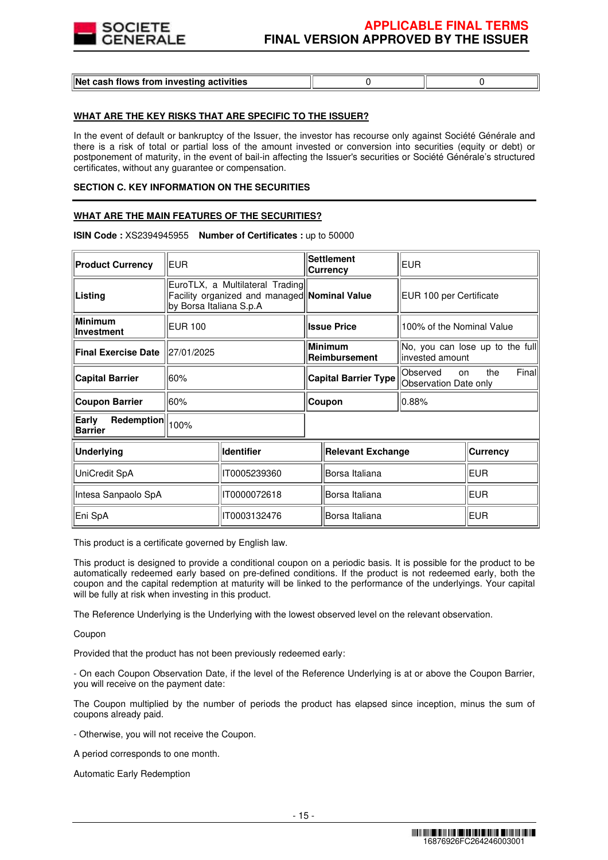

| Net cash flows from investing activities |  |  |
|------------------------------------------|--|--|
|------------------------------------------|--|--|

## **WHAT ARE THE KEY RISKS THAT ARE SPECIFIC TO THE ISSUER?**

In the event of default or bankruptcy of the Issuer, the investor has recourse only against Société Générale and there is a risk of total or partial loss of the amount invested or conversion into securities (equity or debt) or postponement of maturity, in the event of bail-in affecting the Issuer's securities or Société Générale's structured certificates, without any guarantee or compensation.

## **SECTION C. KEY INFORMATION ON THE SECURITIES**

## **WHAT ARE THE MAIN FEATURES OF THE SECURITIES?**

| <b>Product Currency</b>               | <b>EUR</b>                                                                                                 |                   |                | <b>Settlement</b><br>Currency                                    | <b>EUR</b>                |                                 |
|---------------------------------------|------------------------------------------------------------------------------------------------------------|-------------------|----------------|------------------------------------------------------------------|---------------------------|---------------------------------|
| Listing                               | EuroTLX, a Multilateral Trading<br>Facility organized and managed Nominal Value<br>by Borsa Italiana S.p.A |                   |                |                                                                  | EUR 100 per Certificate   |                                 |
| <b>Minimum</b><br><b>Investment</b>   | <b>EUR 100</b>                                                                                             |                   |                | <b>Issue Price</b>                                               | 100% of the Nominal Value |                                 |
| <b>Final Exercise Date</b>            | 27/01/2025                                                                                                 |                   |                | <b>Minimum</b><br>Reimbursement                                  | invested amount           | No, you can lose up to the full |
| <b>Capital Barrier</b>                | 60%                                                                                                        |                   |                | Observed<br><b>Capital Barrier Type</b><br>Observation Date only |                           | Final<br>the<br>on              |
| <b>Coupon Barrier</b>                 | 60%                                                                                                        |                   |                | Coupon                                                           | 0.88%                     |                                 |
| Early<br>Redemption<br><b>Barrier</b> | 100%                                                                                                       |                   |                |                                                                  |                           |                                 |
| <b>Underlying</b>                     |                                                                                                            | <b>Identifier</b> |                | <b>Relevant Exchange</b>                                         |                           | <b>Currency</b>                 |
| UniCredit SpA                         | IT0005239360                                                                                               |                   | Borsa Italiana |                                                                  |                           | <b>IEUR</b>                     |
| Intesa Sanpaolo SpA                   | IT0000072618                                                                                               |                   |                | Borsa Italiana                                                   |                           | <b>IEUR</b>                     |
| Eni SpA                               |                                                                                                            | IT0003132476      |                | Borsa Italiana                                                   |                           | <b>EUR</b>                      |

#### **ISIN Code :** XS2394945955 **Number of Certificates :** up to 50000

This product is a certificate governed by English law.

This product is designed to provide a conditional coupon on a periodic basis. It is possible for the product to be automatically redeemed early based on pre-defined conditions. If the product is not redeemed early, both the coupon and the capital redemption at maturity will be linked to the performance of the underlyings. Your capital will be fully at risk when investing in this product.

The Reference Underlying is the Underlying with the lowest observed level on the relevant observation.

Coupon

Provided that the product has not been previously redeemed early:

- On each Coupon Observation Date, if the level of the Reference Underlying is at or above the Coupon Barrier, you will receive on the payment date:

The Coupon multiplied by the number of periods the product has elapsed since inception, minus the sum of coupons already paid.

- Otherwise, you will not receive the Coupon.

A period corresponds to one month.

Automatic Early Redemption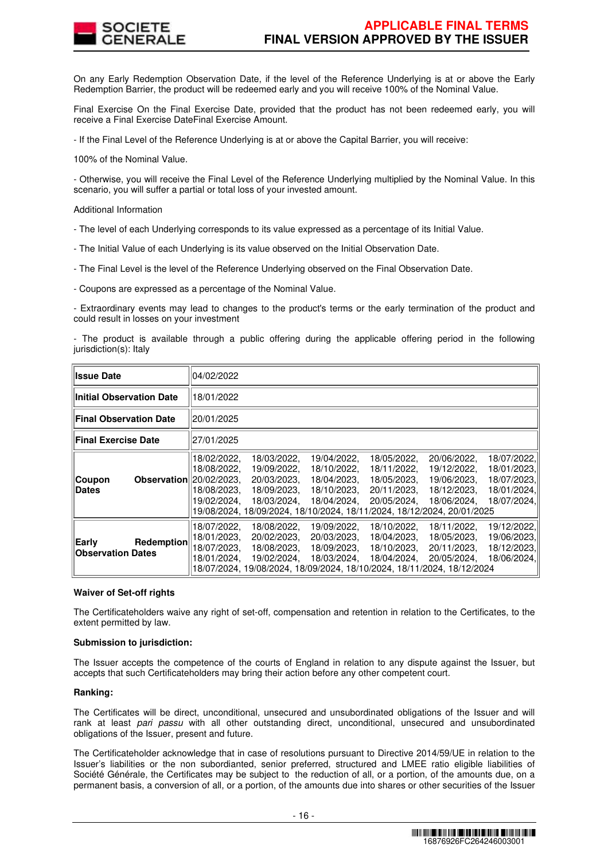

On any Early Redemption Observation Date, if the level of the Reference Underlying is at or above the Early Redemption Barrier, the product will be redeemed early and you will receive 100% of the Nominal Value.

Final Exercise On the Final Exercise Date, provided that the product has not been redeemed early, you will receive a Final Exercise DateFinal Exercise Amount.

- If the Final Level of the Reference Underlying is at or above the Capital Barrier, you will receive:

100% of the Nominal Value.

- Otherwise, you will receive the Final Level of the Reference Underlying multiplied by the Nominal Value. In this scenario, you will suffer a partial or total loss of your invested amount.

Additional Information

- The level of each Underlying corresponds to its value expressed as a percentage of its Initial Value.
- The Initial Value of each Underlying is its value observed on the Initial Observation Date.
- The Final Level is the level of the Reference Underlying observed on the Final Observation Date.
- Coupons are expressed as a percentage of the Nominal Value.

- Extraordinary events may lead to changes to the product's terms or the early termination of the product and could result in losses on your investment

- The product is available through a public offering during the applicable offering period in the following jurisdiction(s): Italy

| <b>Issue Date</b>                 |                                | 04/02/2022                                               |                                                                                                                                                   |                                                                         |                                                                         |                                                                         |                                                                         |
|-----------------------------------|--------------------------------|----------------------------------------------------------|---------------------------------------------------------------------------------------------------------------------------------------------------|-------------------------------------------------------------------------|-------------------------------------------------------------------------|-------------------------------------------------------------------------|-------------------------------------------------------------------------|
| <b>Initial Observation Date</b>   |                                | 18/01/2022                                               |                                                                                                                                                   |                                                                         |                                                                         |                                                                         |                                                                         |
| <b>Final Observation Date</b>     |                                | 20/01/2025                                               |                                                                                                                                                   |                                                                         |                                                                         |                                                                         |                                                                         |
| <b>Final Exercise Date</b>        |                                | 27/01/2025                                               |                                                                                                                                                   |                                                                         |                                                                         |                                                                         |                                                                         |
| Coupon<br><b>Dates</b>            | <b>Observation</b> 20/02/2023, | 18/02/2022,<br>18/08/2022.<br>18/08/2023.<br>19/02/2024. | 18/03/2022,<br>19/09/2022,<br>20/03/2023.<br>18/09/2023.<br>18/03/2024.<br>19/08/2024, 18/09/2024, 18/10/2024, 18/11/2024, 18/12/2024, 20/01/2025 | 19/04/2022,<br>18/10/2022,<br>18/04/2023.<br>18/10/2023.<br>18/04/2024. | 18/05/2022,<br>18/11/2022,<br>18/05/2023.<br>20/11/2023.<br>20/05/2024. | 20/06/2022,<br>19/12/2022,<br>19/06/2023.<br>18/12/2023.<br>18/06/2024. | 18/07/2022,<br>18/01/2023,<br>18/07/2023,<br>18/01/2024,<br>18/07/2024, |
| Early<br><b>Observation Dates</b> | Redemption                     | 18/07/2022,<br>18/01/2023,<br>18/07/2023.<br>18/01/2024. | 18/08/2022,<br>20/02/2023.<br>18/08/2023.<br>19/02/2024.<br>18/07/2024, 19/08/2024, 18/09/2024, 18/10/2024, 18/11/2024, 18/12/2024                | 19/09/2022,<br>20/03/2023.<br>18/09/2023.<br>18/03/2024,                | 18/10/2022,<br>18/04/2023.<br>18/10/2023.<br>18/04/2024.                | 18/11/2022,<br>18/05/2023.<br>20/11/2023.<br>20/05/2024.                | 19/12/2022,<br>19/06/2023.<br>18/12/2023,<br>18/06/2024,                |

#### **Waiver of Set-off rights**

The Certificateholders waive any right of set-off, compensation and retention in relation to the Certificates, to the extent permitted by law.

# **Submission to jurisdiction:**

The Issuer accepts the competence of the courts of England in relation to any dispute against the Issuer, but accepts that such Certificateholders may bring their action before any other competent court.

## **Ranking:**

The Certificates will be direct, unconditional, unsecured and unsubordinated obligations of the Issuer and will rank at least pari passu with all other outstanding direct, unconditional, unsecured and unsubordinated obligations of the Issuer, present and future.

The Certificateholder acknowledge that in case of resolutions pursuant to Directive 2014/59/UE in relation to the Issuer's liabilities or the non subordianted, senior preferred, structured and LMEE ratio eligible liabilities of Société Générale, the Certificates may be subject to the reduction of all, or a portion, of the amounts due, on a permanent basis, a conversion of all, or a portion, of the amounts due into shares or other securities of the Issuer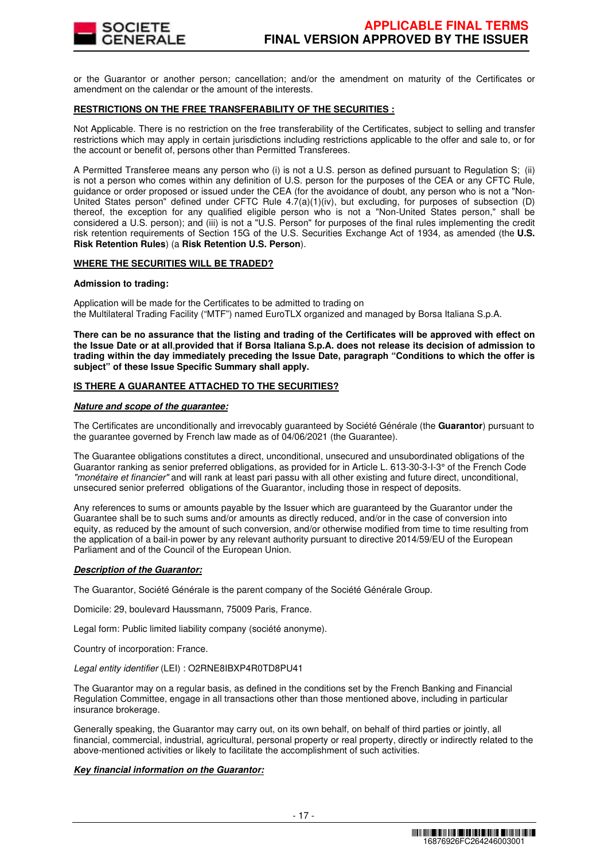

or the Guarantor or another person; cancellation; and/or the amendment on maturity of the Certificates or amendment on the calendar or the amount of the interests.

## **RESTRICTIONS ON THE FREE TRANSFERABILITY OF THE SECURITIES :**

Not Applicable. There is no restriction on the free transferability of the Certificates, subject to selling and transfer restrictions which may apply in certain jurisdictions including restrictions applicable to the offer and sale to, or for the account or benefit of, persons other than Permitted Transferees.

A Permitted Transferee means any person who (i) is not a U.S. person as defined pursuant to Regulation S; (ii) is not a person who comes within any definition of U.S. person for the purposes of the CEA or any CFTC Rule, guidance or order proposed or issued under the CEA (for the avoidance of doubt, any person who is not a "Non-United States person" defined under CFTC Rule 4.7(a)(1)(iv), but excluding, for purposes of subsection (D) thereof, the exception for any qualified eligible person who is not a "Non-United States person," shall be considered a U.S. person); and (iii) is not a "U.S. Person" for purposes of the final rules implementing the credit risk retention requirements of Section 15G of the U.S. Securities Exchange Act of 1934, as amended (the **U.S. Risk Retention Rules**) (a **Risk Retention U.S. Person**).

## **WHERE THE SECURITIES WILL BE TRADED?**

#### **Admission to trading:**

Application will be made for the Certificates to be admitted to trading on the Multilateral Trading Facility ("MTF") named EuroTLX organized and managed by Borsa Italiana S.p.A.

**There can be no assurance that the listing and trading of the Certificates will be approved with effect on the Issue Date or at all**,**provided that if Borsa Italiana S.p.A. does not release its decision of admission to trading within the day immediately preceding the Issue Date, paragraph "Conditions to which the offer is subject" of these Issue Specific Summary shall apply.**

## **IS THERE A GUARANTEE ATTACHED TO THE SECURITIES?**

#### **Nature and scope of the guarantee:**

The Certificates are unconditionally and irrevocably guaranteed by Société Générale (the **Guarantor**) pursuant to the guarantee governed by French law made as of 04/06/2021 (the Guarantee).

The Guarantee obligations constitutes a direct, unconditional, unsecured and unsubordinated obligations of the Guarantor ranking as senior preferred obligations, as provided for in Article L. 613-30-3-I-3° of the French Code "monétaire et financier" and will rank at least pari passu with all other existing and future direct, unconditional, unsecured senior preferred obligations of the Guarantor, including those in respect of deposits.

Any references to sums or amounts payable by the Issuer which are guaranteed by the Guarantor under the Guarantee shall be to such sums and/or amounts as directly reduced, and/or in the case of conversion into equity, as reduced by the amount of such conversion, and/or otherwise modified from time to time resulting from the application of a bail-in power by any relevant authority pursuant to directive 2014/59/EU of the European Parliament and of the Council of the European Union.

## **Description of the Guarantor:**

The Guarantor, Société Générale is the parent company of the Société Générale Group.

Domicile: 29, boulevard Haussmann, 75009 Paris, France.

Legal form: Public limited liability company (société anonyme).

Country of incorporation: France.

Legal entity identifier (LEI) : O2RNE8IBXP4R0TD8PU41

The Guarantor may on a regular basis, as defined in the conditions set by the French Banking and Financial Regulation Committee, engage in all transactions other than those mentioned above, including in particular insurance brokerage.

Generally speaking, the Guarantor may carry out, on its own behalf, on behalf of third parties or jointly, all financial, commercial, industrial, agricultural, personal property or real property, directly or indirectly related to the above-mentioned activities or likely to facilitate the accomplishment of such activities.

#### **Key financial information on the Guarantor:**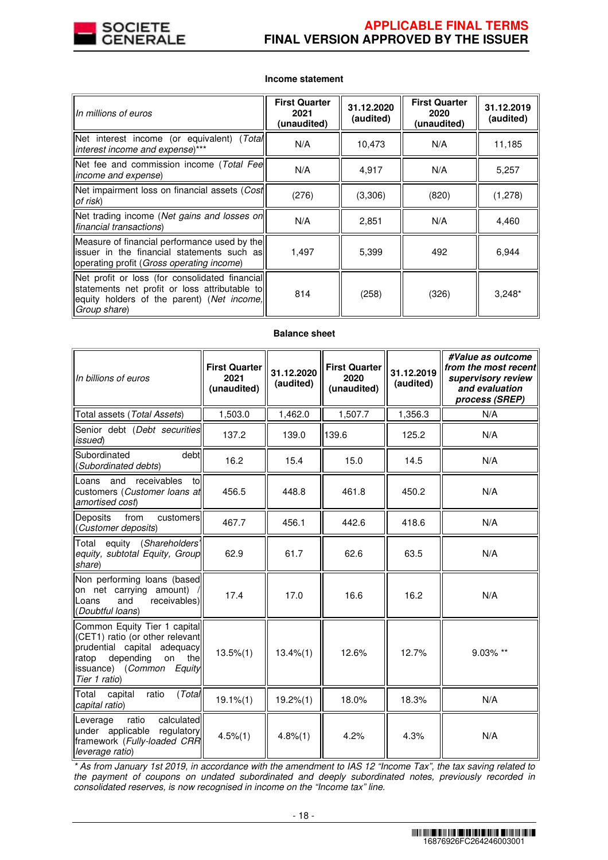

# **Income statement**

| In millions of euros                                                                                                                                          | <b>First Quarter</b><br>2021<br>(unaudited) | 31.12.2020<br>(audited) | <b>First Quarter</b><br>2020<br>(unaudited) | 31.12.2019<br>(audited) |
|---------------------------------------------------------------------------------------------------------------------------------------------------------------|---------------------------------------------|-------------------------|---------------------------------------------|-------------------------|
| Net interest income (or equivalent) (Total<br>interest income and expense)***                                                                                 | N/A                                         | 10,473                  | N/A                                         | 11,185                  |
| Net fee and commission income (Total Fee<br><i>income and expense</i> )                                                                                       | N/A                                         | 4,917                   | N/A                                         | 5,257                   |
| Net impairment loss on financial assets (Cost<br>of risk)                                                                                                     | (276)                                       | (3,306)                 | (820)                                       | (1,278)                 |
| Net trading income (Net gains and losses on<br>financial transactions)                                                                                        | N/A                                         | 2,851                   | N/A                                         | 4,460                   |
| Measure of financial performance used by the<br>issuer in the financial statements such as<br>operating profit ( <i>Gross operating income</i> )              | 1,497                                       | 5,399                   | 492                                         | 6,944                   |
| Net profit or loss (for consolidated financial<br>statements net profit or loss attributable to<br>equity holders of the parent) (Net income,<br>Group share) | 814                                         | (258)                   | (326)                                       | $3,248*$                |

| <b>Balance sheet</b> |  |
|----------------------|--|
|----------------------|--|

| In billions of euros                                                                                                                                                        | <b>First Quarter</b><br>2021<br>(unaudited) | 31.12.2020<br>(audited) | <b>First Quarter</b><br>2020<br>(unaudited) | 31.12.2019<br>(audited) | #Value as outcome<br>from the most recent<br>supervisory review<br>and evaluation<br>process (SREP) |
|-----------------------------------------------------------------------------------------------------------------------------------------------------------------------------|---------------------------------------------|-------------------------|---------------------------------------------|-------------------------|-----------------------------------------------------------------------------------------------------|
| Total assets (Total Assets)                                                                                                                                                 | 1,503.0                                     | 1,462.0                 | 1,507.7                                     | 1,356.3                 | N/A                                                                                                 |
| Senior debt (Debt securities<br>issued)                                                                                                                                     | 137.2                                       | 139.0                   | 139.6                                       | 125.2                   | N/A                                                                                                 |
| Subordinated<br>debt<br>(Subordinated debts)                                                                                                                                | 16.2                                        | 15.4                    | 15.0                                        | 14.5                    | N/A                                                                                                 |
| and<br>receivables<br>Loans<br>tol<br>customers (Customer loans at<br>amortised cost)                                                                                       | 456.5                                       | 448.8                   | 461.8                                       | 450.2                   | N/A                                                                                                 |
| Deposits<br>from<br>customers<br>(Customer deposits)                                                                                                                        | 467.7                                       | 456.1                   | 442.6                                       | 418.6                   | N/A                                                                                                 |
| equity (Shareholders'<br>Total<br>equity, subtotal Equity, Group<br>share)                                                                                                  | 62.9                                        | 61.7                    | 62.6                                        | 63.5                    | N/A                                                                                                 |
| Non performing loans (based<br>on net carrying amount)<br>and<br>receivables)<br>Loans<br>(Doubtful loans)                                                                  | 17.4                                        | 17.0                    | 16.6                                        | 16.2                    | N/A                                                                                                 |
| Common Equity Tier 1 capital<br>(CET1) ratio (or other relevant<br>prudential capital adequacy<br>depending<br>on the<br>ratop<br>issuance) (Common Equity<br>Tier 1 ratio) | $13.5\%(1)$                                 | $13.4\%(1)$             | 12.6%                                       | 12.7%                   | 9.03% **                                                                                            |
| (Total<br>Total<br>capital<br>ratio<br>capital ratio)                                                                                                                       | $19.1\% (1)$                                | $19.2\%(1)$             | 18.0%                                       | 18.3%                   | N/A                                                                                                 |
| ratio<br>calculated<br>Leverage<br>under applicable<br>regulatory<br>framework (Fully-loaded CRR<br>leverage ratio)                                                         | $4.5\%(1)$                                  | 4.8%(1)                 | 4.2%                                        | 4.3%                    | N/A                                                                                                 |

\* As from January 1st 2019, in accordance with the amendment to IAS 12 "Income Tax", the tax saving related to the payment of coupons on undated subordinated and deeply subordinated notes, previously recorded in consolidated reserves, is now recognised in income on the "Income tax" line.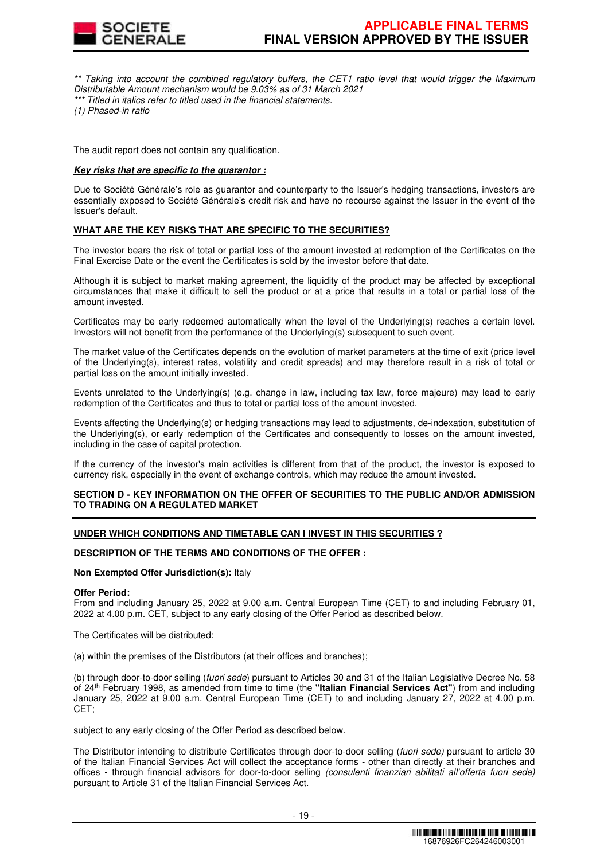

\*\* Taking into account the combined regulatory buffers, the CET1 ratio level that would trigger the Maximum Distributable Amount mechanism would be 9.03% as of 31 March 2021 \*\*\* Titled in italics refer to titled used in the financial statements.

(1) Phased-in ratio

The audit report does not contain any qualification.

## **Key risks that are specific to the guarantor :**

Due to Société Générale's role as guarantor and counterparty to the Issuer's hedging transactions, investors are essentially exposed to Société Générale's credit risk and have no recourse against the Issuer in the event of the Issuer's default.

# **WHAT ARE THE KEY RISKS THAT ARE SPECIFIC TO THE SECURITIES?**

The investor bears the risk of total or partial loss of the amount invested at redemption of the Certificates on the Final Exercise Date or the event the Certificates is sold by the investor before that date.

Although it is subject to market making agreement, the liquidity of the product may be affected by exceptional circumstances that make it difficult to sell the product or at a price that results in a total or partial loss of the amount invested.

Certificates may be early redeemed automatically when the level of the Underlying(s) reaches a certain level. Investors will not benefit from the performance of the Underlying(s) subsequent to such event.

The market value of the Certificates depends on the evolution of market parameters at the time of exit (price level of the Underlying(s), interest rates, volatility and credit spreads) and may therefore result in a risk of total or partial loss on the amount initially invested.

Events unrelated to the Underlying(s) (e.g. change in law, including tax law, force majeure) may lead to early redemption of the Certificates and thus to total or partial loss of the amount invested.

Events affecting the Underlying(s) or hedging transactions may lead to adjustments, de-indexation, substitution of the Underlying(s), or early redemption of the Certificates and consequently to losses on the amount invested, including in the case of capital protection.

If the currency of the investor's main activities is different from that of the product, the investor is exposed to currency risk, especially in the event of exchange controls, which may reduce the amount invested.

## **SECTION D - KEY INFORMATION ON THE OFFER OF SECURITIES TO THE PUBLIC AND/OR ADMISSION TO TRADING ON A REGULATED MARKET**

## **UNDER WHICH CONDITIONS AND TIMETABLE CAN I INVEST IN THIS SECURITIES ?**

## **DESCRIPTION OF THE TERMS AND CONDITIONS OF THE OFFER :**

**Non Exempted Offer Jurisdiction(s):** Italy

#### **Offer Period:**

From and including January 25, 2022 at 9.00 a.m. Central European Time (CET) to and including February 01, 2022 at 4.00 p.m. CET, subject to any early closing of the Offer Period as described below.

The Certificates will be distributed:

(a) within the premises of the Distributors (at their offices and branches);

(b) through door-to-door selling (fuori sede) pursuant to Articles 30 and 31 of the Italian Legislative Decree No. 58 of 24th February 1998, as amended from time to time (the **"Italian Financial Services Act"**) from and including January 25, 2022 at 9.00 a.m. Central European Time (CET) to and including January 27, 2022 at 4.00 p.m. CET;

subject to any early closing of the Offer Period as described below.

The Distributor intending to distribute Certificates through door-to-door selling (fuori sede) pursuant to article 30 of the Italian Financial Services Act will collect the acceptance forms - other than directly at their branches and offices - through financial advisors for door-to-door selling (consulenti finanziari abilitati all'offerta fuori sede) pursuant to Article 31 of the Italian Financial Services Act.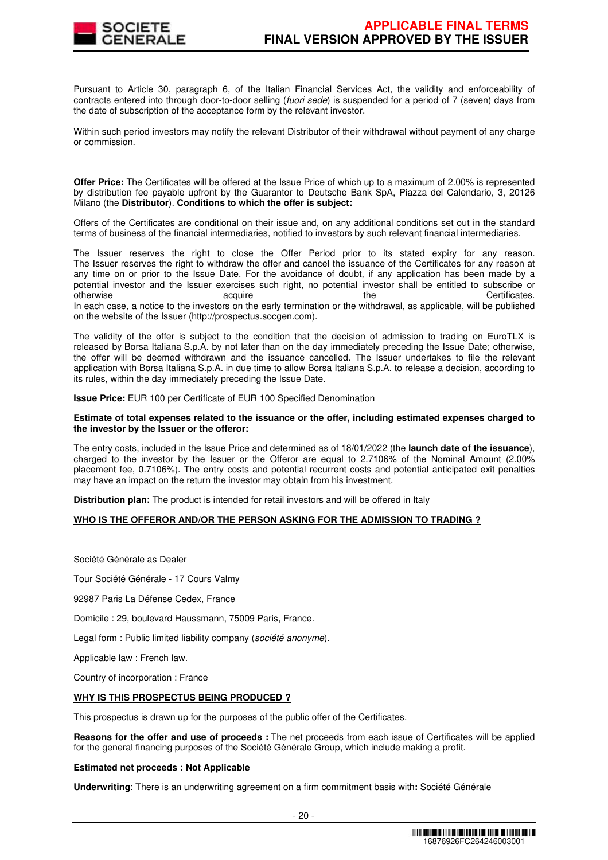

Pursuant to Article 30, paragraph 6, of the Italian Financial Services Act, the validity and enforceability of contracts entered into through door-to-door selling (fuori sede) is suspended for a period of 7 (seven) days from the date of subscription of the acceptance form by the relevant investor.

Within such period investors may notify the relevant Distributor of their withdrawal without payment of any charge or commission.

**Offer Price:** The Certificates will be offered at the Issue Price of which up to a maximum of 2.00% is represented by distribution fee payable upfront by the Guarantor to Deutsche Bank SpA, Piazza del Calendario, 3, 20126 Milano (the **Distributor**). **Conditions to which the offer is subject:**

Offers of the Certificates are conditional on their issue and, on any additional conditions set out in the standard terms of business of the financial intermediaries, notified to investors by such relevant financial intermediaries.

The Issuer reserves the right to close the Offer Period prior to its stated expiry for any reason. The Issuer reserves the right to withdraw the offer and cancel the issuance of the Certificates for any reason at any time on or prior to the Issue Date. For the avoidance of doubt, if any application has been made by a potential investor and the Issuer exercises such right, no potential investor shall be entitled to subscribe or otherwise acquire acquire the the Certificates. In each case, a notice to the investors on the early termination or the withdrawal, as applicable, will be published on the website of the Issuer (http://prospectus.socgen.com).

The validity of the offer is subject to the condition that the decision of admission to trading on EuroTLX is released by Borsa Italiana S.p.A. by not later than on the day immediately preceding the Issue Date; otherwise, the offer will be deemed withdrawn and the issuance cancelled. The Issuer undertakes to file the relevant application with Borsa Italiana S.p.A. in due time to allow Borsa Italiana S.p.A. to release a decision, according to its rules, within the day immediately preceding the Issue Date.

**Issue Price:** EUR 100 per Certificate of EUR 100 Specified Denomination

#### **Estimate of total expenses related to the issuance or the offer, including estimated expenses charged to the investor by the Issuer or the offeror:**

The entry costs, included in the Issue Price and determined as of 18/01/2022 (the **launch date of the issuance**), charged to the investor by the Issuer or the Offeror are equal to 2.7106% of the Nominal Amount (2.00% placement fee, 0.7106%). The entry costs and potential recurrent costs and potential anticipated exit penalties may have an impact on the return the investor may obtain from his investment.

**Distribution plan:** The product is intended for retail investors and will be offered in Italy

## **WHO IS THE OFFEROR AND/OR THE PERSON ASKING FOR THE ADMISSION TO TRADING ?**

Société Générale as Dealer

Tour Société Générale - 17 Cours Valmy

92987 Paris La Défense Cedex, France

Domicile : 29, boulevard Haussmann, 75009 Paris, France.

Legal form : Public limited liability company (société anonyme).

Applicable law : French law.

Country of incorporation : France

## **WHY IS THIS PROSPECTUS BEING PRODUCED ?**

This prospectus is drawn up for the purposes of the public offer of the Certificates.

**Reasons for the offer and use of proceeds :** The net proceeds from each issue of Certificates will be applied for the general financing purposes of the Société Générale Group, which include making a profit.

## **Estimated net proceeds : Not Applicable**

**Underwriting**: There is an underwriting agreement on a firm commitment basis with**:** Société Générale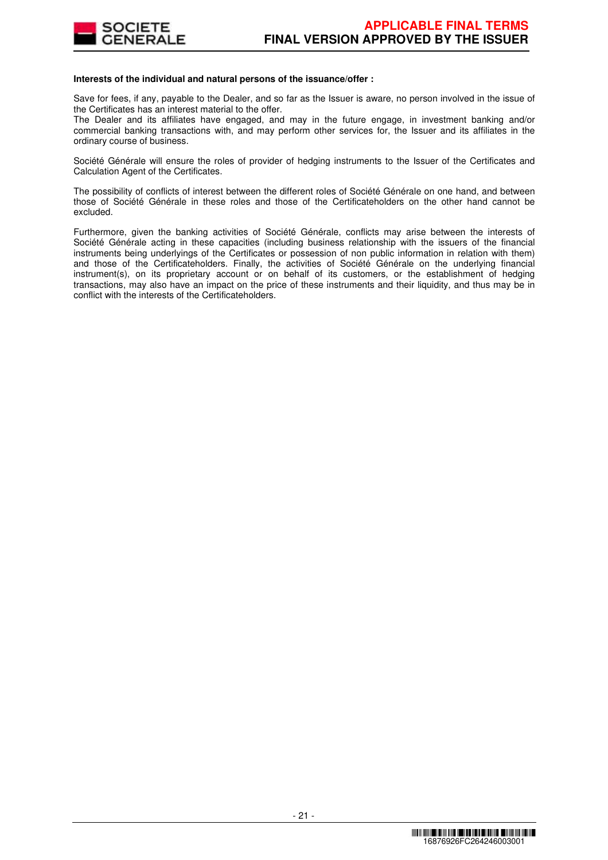

## **Interests of the individual and natural persons of the issuance/offer :**

Save for fees, if any, payable to the Dealer, and so far as the Issuer is aware, no person involved in the issue of the Certificates has an interest material to the offer.

The Dealer and its affiliates have engaged, and may in the future engage, in investment banking and/or commercial banking transactions with, and may perform other services for, the Issuer and its affiliates in the ordinary course of business.

Société Générale will ensure the roles of provider of hedging instruments to the Issuer of the Certificates and Calculation Agent of the Certificates.

The possibility of conflicts of interest between the different roles of Société Générale on one hand, and between those of Société Générale in these roles and those of the Certificateholders on the other hand cannot be excluded.

Furthermore, given the banking activities of Société Générale, conflicts may arise between the interests of Société Générale acting in these capacities (including business relationship with the issuers of the financial instruments being underlyings of the Certificates or possession of non public information in relation with them) and those of the Certificateholders. Finally, the activities of Société Générale on the underlying financial instrument(s), on its proprietary account or on behalf of its customers, or the establishment of hedging transactions, may also have an impact on the price of these instruments and their liquidity, and thus may be in conflict with the interests of the Certificateholders.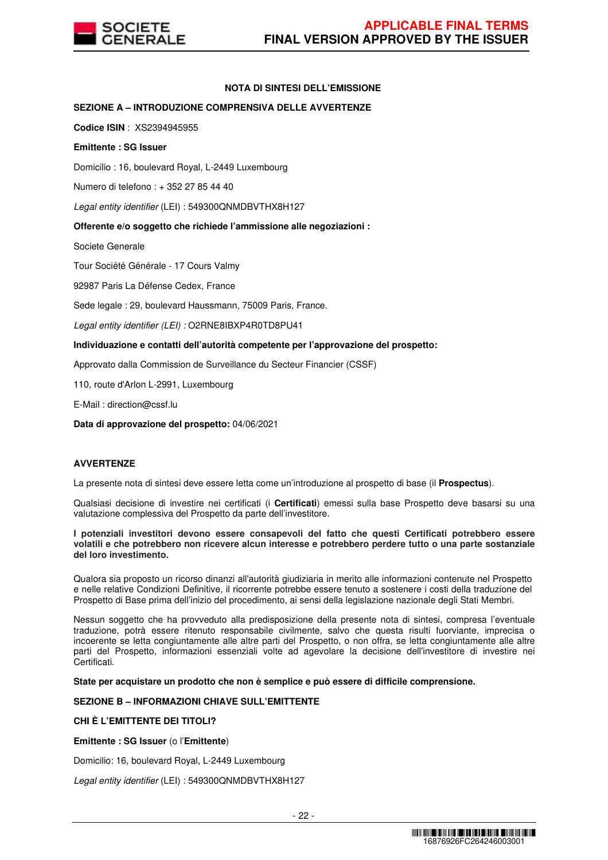

## **NOTA DI SINTESI DELL'EMISSIONE**

## **SEZIONE A – INTRODUZIONE COMPRENSIVA DELLE AVVERTENZE**

**Codice ISIN** : XS2394945955

## **Emittente : SG Issuer**

Domicilio : 16, boulevard Royal, L-2449 Luxembourg

Numero di telefono : + 352 27 85 44 40

Legal entity identifier (LEI) : 549300QNMDBVTHX8H127

## **Offerente e/o soggetto che richiede l'ammissione alle negoziazioni :**

Societe Generale

Tour Société Générale - 17 Cours Valmy

92987 Paris La Défense Cedex, France

Sede legale : 29, boulevard Haussmann, 75009 Paris, France.

Legal entity identifier (LEI) : O2RNE8IBXP4R0TD8PU41

## **Individuazione e contatti dell'autorità competente per l'approvazione del prospetto:**

Approvato dalla Commission de Surveillance du Secteur Financier (CSSF)

110, route d'Arlon L-2991, Luxembourg

E-Mail : direction@cssf.lu

**Data di approvazione del prospetto:** 04/06/2021

## **AVVERTENZE**

La presente nota di sintesi deve essere letta come un'introduzione al prospetto di base (il **Prospectus**).

Qualsiasi decisione di investire nei certificati (i **Certificati**) emessi sulla base Prospetto deve basarsi su una valutazione complessiva del Prospetto da parte dell'investitore.

**I potenziali investitori devono essere consapevoli del fatto che questi Certificati potrebbero essere volatili e che potrebbero non ricevere alcun interesse e potrebbero perdere tutto o una parte sostanziale del loro investimento.** 

Qualora sia proposto un ricorso dinanzi all'autorità giudiziaria in merito alle informazioni contenute nel Prospetto e nelle relative Condizioni Definitive, il ricorrente potrebbe essere tenuto a sostenere i costi della traduzione del Prospetto di Base prima dell'inizio del procedimento, ai sensi della legislazione nazionale degli Stati Membri.

Nessun soggetto che ha provveduto alla predisposizione della presente nota di sintesi, compresa l'eventuale traduzione, potrà essere ritenuto responsabile civilmente, salvo che questa risulti fuorviante, imprecisa o incoerente se letta congiuntamente alle altre parti del Prospetto, o non offra, se letta congiuntamente alle altre parti del Prospetto, informazioni essenziali volte ad agevolare la decisione dell'investitore di investire nei Certificati.

**State per acquistare un prodotto che non è semplice e può essere di difficile comprensione.**

## **SEZIONE B – INFORMAZIONI CHIAVE SULL'EMITTENTE**

# **CHI È L'EMITTENTE DEI TITOLI?**

**Emittente : SG Issuer** (o l'**Emittente**)

Domicilio: 16, boulevard Royal, L-2449 Luxembourg

Legal entity identifier (LEI) : 549300QNMDBVTHX8H127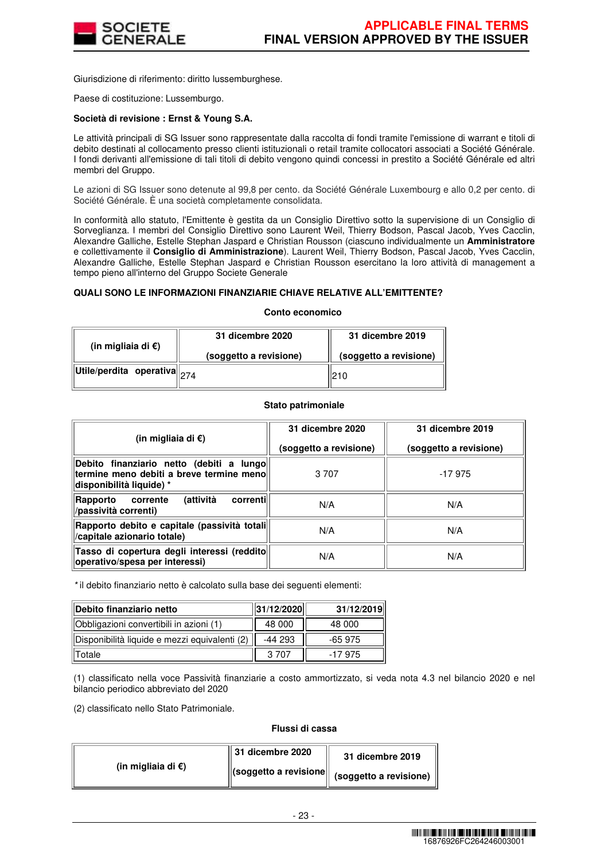

Giurisdizione di riferimento: diritto lussemburghese.

Paese di costituzione: Lussemburgo.

## **Società di revisione : Ernst & Young S.A.**

Le attività principali di SG Issuer sono rappresentate dalla raccolta di fondi tramite l'emissione di warrant e titoli di debito destinati al collocamento presso clienti istituzionali o retail tramite collocatori associati a Société Générale. I fondi derivanti all'emissione di tali titoli di debito vengono quindi concessi in prestito a Société Générale ed altri membri del Gruppo.

Le azioni di SG Issuer sono detenute al 99,8 per cento. da Société Générale Luxembourg e allo 0,2 per cento. di Société Générale. È una società completamente consolidata.

In conformità allo statuto, l'Emittente è gestita da un Consiglio Direttivo sotto la supervisione di un Consiglio di Sorveglianza. I membri del Consiglio Direttivo sono Laurent Weil, Thierry Bodson, Pascal Jacob, Yves Cacclin, Alexandre Galliche, Estelle Stephan Jaspard e Christian Rousson (ciascuno individualmente un **Amministratore**  e collettivamente il **Consiglio di Amministrazione**). Laurent Weil, Thierry Bodson, Pascal Jacob, Yves Cacclin, Alexandre Galliche, Estelle Stephan Jaspard e Christian Rousson esercitano la loro attività di management a tempo pieno all'interno del Gruppo Societe Generale

## **QUALI SONO LE INFORMAZIONI FINANZIARIE CHIAVE RELATIVE ALL'EMITTENTE?**

#### **Conto economico**

| (in migliaia di $\epsilon$ )                                                                       | 31 dicembre 2020       | 31 dicembre 2019       |  |
|----------------------------------------------------------------------------------------------------|------------------------|------------------------|--|
|                                                                                                    | (soggetto a revisione) | (soggetto a revisione) |  |
| $\left\Vert \mathsf{Utile}/\mathsf{perdita} \right\Vert$ operativa $\left\Vert _{274} \right\Vert$ |                        | 210                    |  |

## **Stato patrimoniale**

| (in migliaia di €)                                                                                               | 31 dicembre 2020<br>(soggetto a revisione) | 31 dicembre 2019<br>(soggetto a revisione) |  |
|------------------------------------------------------------------------------------------------------------------|--------------------------------------------|--------------------------------------------|--|
| Debito finanziario netto (debiti a lungo<br>termine meno debiti a breve termine meno<br>disponibilità liquide) * | 3 7 0 7                                    | $-17975$                                   |  |
| (attività<br>correntil<br>Rapporto<br>corrente<br>/passività correnti)                                           | N/A                                        | N/A                                        |  |
| Rapporto debito e capitale (passività totali <br>/capitale azionario totale)                                     | N/A                                        | N/A                                        |  |
| Tasso di copertura degli interessi (reddito<br>operativo/spesa per interessi)                                    | N/A                                        | N/A                                        |  |

\* il debito finanziario netto è calcolato sulla base dei seguenti elementi:

| Debito finanziario netto                      | 31/12/2020 | 31/12/2019 |
|-----------------------------------------------|------------|------------|
| Obbligazioni convertibili in azioni (1)       | 48 000     | 48 000     |
| Disponibilità liquide e mezzi equivalenti (2) | -44 293    | -65 975    |
| Totale                                        | 3 70 7     | $-17975$   |

(1) classificato nella voce Passività finanziarie a costo ammortizzato, si veda nota 4.3 nel bilancio 2020 e nel bilancio periodico abbreviato del 2020

(2) classificato nello Stato Patrimoniale.

## **Flussi di cassa**

|                              | $\parallel$ 31 dicembre 2020 | 31 dicembre 2019                                                                  |
|------------------------------|------------------------------|-----------------------------------------------------------------------------------|
| (in migliaia di $\epsilon$ ) |                              | $\left\  \text{(soggetto a revisione} \right\  \text{ (soggetto a revisione) }$ " |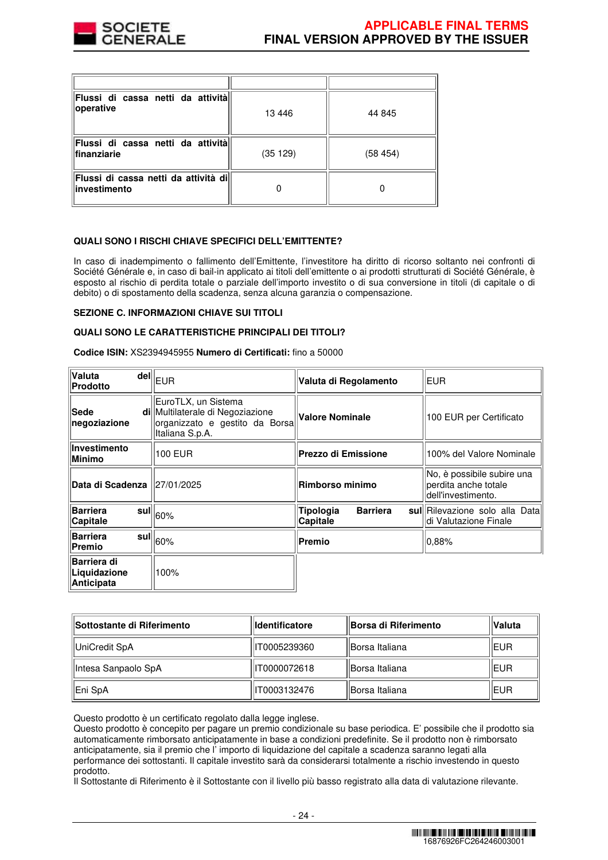

| Flussi di cassa netti da attività<br>operative        | 13 4 46 | 44 845  |
|-------------------------------------------------------|---------|---------|
| Flussi di cassa netti da attività<br>finanziarie      | (35129) | (58454) |
| Flussi di cassa netti da attività dil<br>investimento |         |         |

## **QUALI SONO I RISCHI CHIAVE SPECIFICI DELL'EMITTENTE?**

In caso di inadempimento o fallimento dell'Emittente, l'investitore ha diritto di ricorso soltanto nei confronti di Société Générale e, in caso di bail-in applicato ai titoli dell'emittente o ai prodotti strutturati di Société Générale, è esposto al rischio di perdita totale o parziale dell'importo investito o di sua conversione in titoli (di capitale o di debito) o di spostamento della scadenza, senza alcuna garanzia o compensazione.

#### **SEZIONE C. INFORMAZIONI CHIAVE SUI TITOLI**

#### **QUALI SONO LE CARATTERISTICHE PRINCIPALI DEI TITOLI?**

**Codice ISIN:** XS2394945955 **Numero di Certificati:** fino a 50000

| Valuta<br>Prodotto                               | $\bar{\mathsf{del}}\vert\vert_{\mathsf{EUR}}$                                                                | Valuta di Regolamento                    | EUR                                                                      |  |
|--------------------------------------------------|--------------------------------------------------------------------------------------------------------------|------------------------------------------|--------------------------------------------------------------------------|--|
| Sede<br>negoziazione                             | EuroTLX, un Sistema<br>di Multilaterale di Negoziazione<br>organizzato e gestito da Borsa<br>Italiana S.p.A. | <b>Valore Nominale</b>                   | 100 EUR per Certificato                                                  |  |
| Investimento<br><b>Minimo</b>                    | 100 EUR                                                                                                      | <b>Prezzo di Emissione</b>               | 100% del Valore Nominale                                                 |  |
| Data di Scadenza   27/01/2025                    |                                                                                                              | Rimborso minimo                          | No, è possibile subire una<br>perdita anche totale<br>dell'investimento. |  |
| <b>Barriera</b><br>Capitale                      | $\tilde{  }$ sul $  _{60\%}$                                                                                 | Tipologia<br><b>Barriera</b><br>Capitale | sul Rilevazione solo alla Data<br>di Valutazione Finale                  |  |
| <b>Barriera</b><br>Premio                        | $\bar{~}$ sul $\parallel_{60\%}$                                                                             | Premio                                   | 0,88%                                                                    |  |
| <b>Barriera di</b><br>Liquidazione<br>Anticipata | 100%                                                                                                         |                                          |                                                                          |  |

| <b>ISottostante di Riferimento</b> | <b>Identificatore</b> | <b>Borsa di Riferimento</b> | <b>Valuta</b> |
|------------------------------------|-----------------------|-----------------------------|---------------|
| UniCredit SpA                      | IT0005239360          | Borsa Italiana              | <b>EUR</b>    |
| Intesa Sanpaolo SpA                | IT0000072618          | Borsa Italiana              | <b>EUR</b>    |
| Eni SpA                            | IT0003132476          | 'IBorsa Italiana            | <b>EUR</b>    |

Questo prodotto è un certificato regolato dalla legge inglese.

Questo prodotto è concepito per pagare un premio condizionale su base periodica. E' possibile che il prodotto sia automaticamente rimborsato anticipatamente in base a condizioni predefinite. Se il prodotto non è rimborsato anticipatamente, sia il premio che l' importo di liquidazione del capitale a scadenza saranno legati alla performance dei sottostanti. Il capitale investito sarà da considerarsi totalmente a rischio investendo in questo prodotto.

Il Sottostante di Riferimento è il Sottostante con il livello più basso registrato alla data di valutazione rilevante.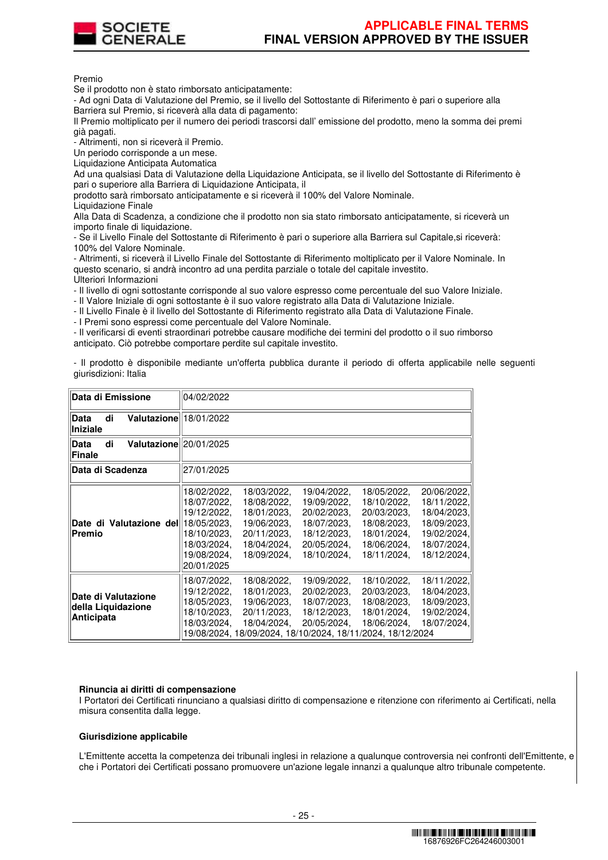

Premio

Se il prodotto non è stato rimborsato anticipatamente:

- Ad ogni Data di Valutazione del Premio, se il livello del Sottostante di Riferimento è pari o superiore alla Barriera sul Premio, si riceverà alla data di pagamento:

Il Premio moltiplicato per il numero dei periodi trascorsi dall' emissione del prodotto, meno la somma dei premi già pagati.

- Altrimenti, non si riceverà il Premio.

Un periodo corrisponde a un mese.

Liquidazione Anticipata Automatica

Ad una qualsiasi Data di Valutazione della Liquidazione Anticipata, se il livello del Sottostante di Riferimento è pari o superiore alla Barriera di Liquidazione Anticipata, il

prodotto sarà rimborsato anticipatamente e si riceverà il 100% del Valore Nominale.

Liquidazione Finale

Alla Data di Scadenza, a condizione che il prodotto non sia stato rimborsato anticipatamente, si riceverà un importo finale di liquidazione.

- Se il Livello Finale del Sottostante di Riferimento è pari o superiore alla Barriera sul Capitale,si riceverà: 100% del Valore Nominale.

- Altrimenti, si riceverà il Livello Finale del Sottostante di Riferimento moltiplicato per il Valore Nominale. In questo scenario, si andrà incontro ad una perdita parziale o totale del capitale investito. Ulteriori Informazioni

- Il livello di ogni sottostante corrisponde al suo valore espresso come percentuale del suo Valore Iniziale.

- Il Valore Iniziale di ogni sottostante è il suo valore registrato alla Data di Valutazione Iniziale.

- Il Livello Finale è il livello del Sottostante di Riferimento registrato alla Data di Valutazione Finale.

- I Premi sono espressi come percentuale del Valore Nominale.

- Il verificarsi di eventi straordinari potrebbe causare modifiche dei termini del prodotto o il suo rimborso anticipato. Ciò potrebbe comportare perdite sul capitale investito.

- Il prodotto è disponibile mediante un'offerta pubblica durante il periodo di offerta applicabile nelle seguenti giurisdizioni: Italia

| Data di Emissione                                              | 04/02/2022                                                                                           |                                                                                                                                       |                                                                                                       |                                                                                                       |                                                                                                       |
|----------------------------------------------------------------|------------------------------------------------------------------------------------------------------|---------------------------------------------------------------------------------------------------------------------------------------|-------------------------------------------------------------------------------------------------------|-------------------------------------------------------------------------------------------------------|-------------------------------------------------------------------------------------------------------|
| Valutazione 18/01/2022<br>di<br><b>Data</b><br>Iniziale        |                                                                                                      |                                                                                                                                       |                                                                                                       |                                                                                                       |                                                                                                       |
| Valutazione 20/01/2025<br>di<br>Data<br>Finale                 |                                                                                                      |                                                                                                                                       |                                                                                                       |                                                                                                       |                                                                                                       |
| Data di Scadenza                                               | 27/01/2025                                                                                           |                                                                                                                                       |                                                                                                       |                                                                                                       |                                                                                                       |
| Date di Valutazione dell18/05/2023.<br>Premio                  | 18/02/2022,<br>18/07/2022,<br>19/12/2022,<br>18/10/2023.<br>18/03/2024,<br>19/08/2024,<br>20/01/2025 | 18/03/2022,<br>18/08/2022,<br>18/01/2023,<br>19/06/2023,<br>20/11/2023.<br>18/04/2024,<br>18/09/2024.                                 | 19/04/2022,<br>19/09/2022,<br>20/02/2023.<br>18/07/2023,<br>18/12/2023,<br>20/05/2024,<br>18/10/2024. | 18/05/2022,<br>18/10/2022,<br>20/03/2023,<br>18/08/2023,<br>18/01/2024,<br>18/06/2024,<br>18/11/2024. | 20/06/2022,<br>18/11/2022,<br>18/04/2023,<br>18/09/2023,<br>19/02/2024,<br>18/07/2024,<br>18/12/2024, |
| Date di Valutazione<br>della Liquidazione<br><b>Anticipata</b> | 18/07/2022,<br>19/12/2022,<br>18/05/2023.<br>18/10/2023,<br>18/03/2024,                              | 18/08/2022,<br>18/01/2023.<br>19/06/2023,<br>20/11/2023.<br>18/04/2024,<br>19/08/2024, 18/09/2024, 18/10/2024, 18/11/2024, 18/12/2024 | 19/09/2022,<br>20/02/2023.<br>18/07/2023,<br>18/12/2023,<br>20/05/2024,                               | 18/10/2022,<br>20/03/2023.<br>18/08/2023,<br>18/01/2024,<br>18/06/2024,                               | 18/11/2022,<br>18/04/2023,<br>18/09/2023,<br>19/02/2024,<br>18/07/2024,                               |

#### **Rinuncia ai diritti di compensazione**

I Portatori dei Certificati rinunciano a qualsiasi diritto di compensazione e ritenzione con riferimento ai Certificati, nella misura consentita dalla legge.

#### **Giurisdizione applicabile**

L'Emittente accetta la competenza dei tribunali inglesi in relazione a qualunque controversia nei confronti dell'Emittente, e che i Portatori dei Certificati possano promuovere un'azione legale innanzi a qualunque altro tribunale competente.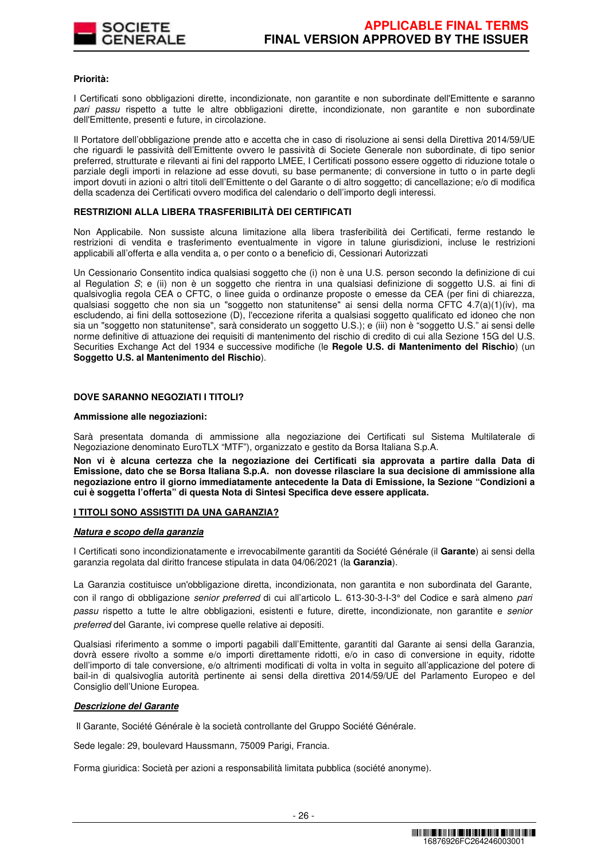

#### **Priorità:**

I Certificati sono obbligazioni dirette, incondizionate, non garantite e non subordinate dell'Emittente e saranno pari passu rispetto a tutte le altre obbligazioni dirette, incondizionate, non garantite e non subordinate dell'Emittente, presenti e future, in circolazione.

Il Portatore dell'obbligazione prende atto e accetta che in caso di risoluzione ai sensi della Direttiva 2014/59/UE che riguardi le passività dell'Emittente ovvero le passività di Societe Generale non subordinate, di tipo senior preferred, strutturate e rilevanti ai fini del rapporto LMEE, I Certificati possono essere oggetto di riduzione totale o parziale degli importi in relazione ad esse dovuti, su base permanente; di conversione in tutto o in parte degli import dovuti in azioni o altri titoli dell'Emittente o del Garante o di altro soggetto; di cancellazione; e/o di modifica della scadenza dei Certificati ovvero modifica del calendario o dell'importo degli interessi.

#### **RESTRIZIONI ALLA LIBERA TRASFERIBILITÀ DEI CERTIFICATI**

Non Applicabile. Non sussiste alcuna limitazione alla libera trasferibilità dei Certificati, ferme restando le restrizioni di vendita e trasferimento eventualmente in vigore in talune giurisdizioni, incluse le restrizioni applicabili all'offerta e alla vendita a, o per conto o a beneficio di, Cessionari Autorizzati

Un Cessionario Consentito indica qualsiasi soggetto che (i) non è una U.S. person secondo la definizione di cui al Regulation S; e (ii) non è un soggetto che rientra in una qualsiasi definizione di soggetto U.S. ai fini di qualsivoglia regola CEA o CFTC, o linee guida o ordinanze proposte o emesse da CEA (per fini di chiarezza, qualsiasi soggetto che non sia un "soggetto non statunitense" ai sensi della norma CFTC 4.7(a)(1)(iv), ma escludendo, ai fini della sottosezione (D), l'eccezione riferita a qualsiasi soggetto qualificato ed idoneo che non sia un "soggetto non statunitense", sarà considerato un soggetto U.S.); e (iii) non è "soggetto U.S." ai sensi delle norme definitive di attuazione dei requisiti di mantenimento del rischio di credito di cui alla Sezione 15G del U.S. Securities Exchange Act del 1934 e successive modifiche (le **Regole U.S. di Mantenimento del Rischio**) (un **Soggetto U.S. al Mantenimento del Rischio**).

## **DOVE SARANNO NEGOZIATI I TITOLI?**

#### **Ammissione alle negoziazioni:**

Sarà presentata domanda di ammissione alla negoziazione dei Certificati sul Sistema Multilaterale di Negoziazione denominato EuroTLX "MTF"), organizzato e gestito da Borsa Italiana S.p.A.

**Non vi è alcuna certezza che la negoziazione dei Certificati sia approvata a partire dalla Data di Emissione, dato che se Borsa Italiana S.p.A. non dovesse rilasciare la sua decisione di ammissione alla negoziazione entro il giorno immediatamente antecedente la Data di Emissione, la Sezione "Condizioni a cui è soggetta l'offerta" di questa Nota di Sintesi Specifica deve essere applicata.** 

#### **I TITOLI SONO ASSISTITI DA UNA GARANZIA?**

#### **Natura e scopo della garanzia**

I Certificati sono incondizionatamente e irrevocabilmente garantiti da Société Générale (il **Garante**) ai sensi della garanzia regolata dal diritto francese stipulata in data 04/06/2021 (la **Garanzia**).

La Garanzia costituisce un'obbligazione diretta, incondizionata, non garantita e non subordinata del Garante, con il rango di obbligazione senior preferred di cui all'articolo L. 613-30-3-I-3° del Codice e sarà almeno pari passu rispetto a tutte le altre obbligazioni, esistenti e future, dirette, incondizionate, non garantite e senior preferred del Garante, ivi comprese quelle relative ai depositi.

Qualsiasi riferimento a somme o importi pagabili dall'Emittente, garantiti dal Garante ai sensi della Garanzia, dovrà essere rivolto a somme e/o importi direttamente ridotti, e/o in caso di conversione in equity, ridotte dell'importo di tale conversione, e/o altrimenti modificati di volta in volta in seguito all'applicazione del potere di bail-in di qualsivoglia autorità pertinente ai sensi della direttiva 2014/59/UE del Parlamento Europeo e del Consiglio dell'Unione Europea.

#### **Descrizione del Garante**

Il Garante, Société Générale è la società controllante del Gruppo Société Générale.

Sede legale: 29, boulevard Haussmann, 75009 Parigi, Francia.

Forma giuridica: Società per azioni a responsabilità limitata pubblica (société anonyme).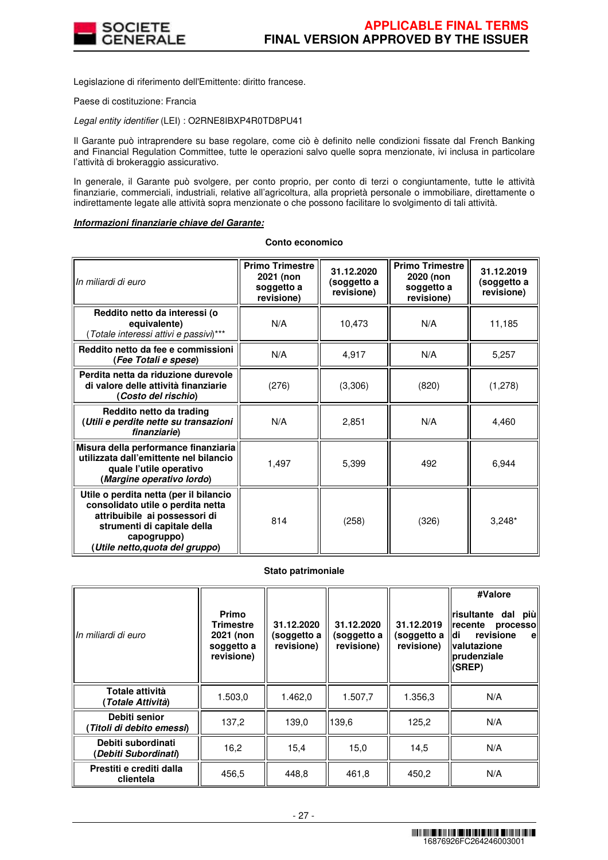

Legislazione di riferimento dell'Emittente: diritto francese.

Paese di costituzione: Francia

Legal entity identifier (LEI) : O2RNE8IBXP4R0TD8PU41

Il Garante può intraprendere su base regolare, come ciò è definito nelle condizioni fissate dal French Banking and Financial Regulation Committee, tutte le operazioni salvo quelle sopra menzionate, ivi inclusa in particolare l'attività di brokeraggio assicurativo.

In generale, il Garante può svolgere, per conto proprio, per conto di terzi o congiuntamente, tutte le attività finanziarie, commerciali, industriali, relative all'agricoltura, alla proprietà personale o immobiliare, direttamente o indirettamente legate alle attività sopra menzionate o che possono facilitare lo svolgimento di tali attività.

# **Informazioni finanziarie chiave del Garante:**

#### **Conto economico**

| In miliardi di euro                                                                                                                                                                          | <b>Primo Trimestre</b><br>2021 (non<br>soggetto a<br>revisione) | 31.12.2020<br>(soggetto a<br>revisione) | <b>Primo Trimestre</b><br>2020 (non<br>soggetto a<br>revisione) | 31.12.2019<br>(soggetto a<br>revisione) |
|----------------------------------------------------------------------------------------------------------------------------------------------------------------------------------------------|-----------------------------------------------------------------|-----------------------------------------|-----------------------------------------------------------------|-----------------------------------------|
| Reddito netto da interessi (o<br>equivalente)<br>(Totale interessi attivi e passivi)***                                                                                                      | N/A                                                             | 10,473                                  | N/A                                                             | 11,185                                  |
| Reddito netto da fee e commissioni<br>(Fee Totali e spese)                                                                                                                                   | N/A                                                             | 4,917                                   | N/A                                                             | 5,257                                   |
| Perdita netta da riduzione durevole<br>di valore delle attività finanziarie<br>(Costo del rischio)                                                                                           | (276)                                                           | (3,306)                                 | (820)                                                           | (1,278)                                 |
| Reddito netto da trading<br>(Utili e perdite nette su transazioni<br>finanziarie)                                                                                                            | N/A                                                             | 2,851                                   | N/A                                                             | 4,460                                   |
| Misura della performance finanziaria<br>utilizzata dall'emittente nel bilancio<br>quale l'utile operativo<br>(Margine operativo lordo)                                                       | 1,497                                                           | 5,399                                   | 492                                                             | 6,944                                   |
| Utile o perdita netta (per il bilancio<br>consolidato utile o perdita netta<br>attribuibile ai possessori di<br>strumenti di capitale della<br>capogruppo)<br>(Utile netto,quota del gruppo) | 814                                                             | (258)                                   | (326)                                                           | $3,248*$                                |

#### **Stato patrimoniale**

| In miliardi di euro                        | <b>Primo</b><br>Trimestre<br>2021 (non<br>soggetto a<br>revisione) | 31.12.2020<br>(soggetto a<br>revisione) | 31.12.2020<br>(soggetto a<br>revisione) | 31.12.2019<br>(soggetto a<br>revisione) | #Valore<br><b>risultante</b><br>dal piùl<br>recente<br>processo<br>ldi<br>revisione<br>e<br><b>valutazione</b><br><b>prudenziale</b><br>(SREP) |
|--------------------------------------------|--------------------------------------------------------------------|-----------------------------------------|-----------------------------------------|-----------------------------------------|------------------------------------------------------------------------------------------------------------------------------------------------|
| Totale attività<br>(Totale Attività)       | 1.503,0                                                            | 1.462,0                                 | 1.507,7                                 | 1.356,3                                 | N/A                                                                                                                                            |
| Debiti senior<br>(Titoli di debito emessi) | 137,2                                                              | 139.0                                   | 139.6                                   | 125,2                                   | N/A                                                                                                                                            |
| Debiti subordinati<br>(Debiti Subordinati) | 16,2                                                               | 15,4                                    | 15.0                                    | 14,5                                    | N/A                                                                                                                                            |
| Prestiti e crediti dalla<br>clientela      | 456,5                                                              | 448,8                                   | 461,8                                   | 450,2                                   | N/A                                                                                                                                            |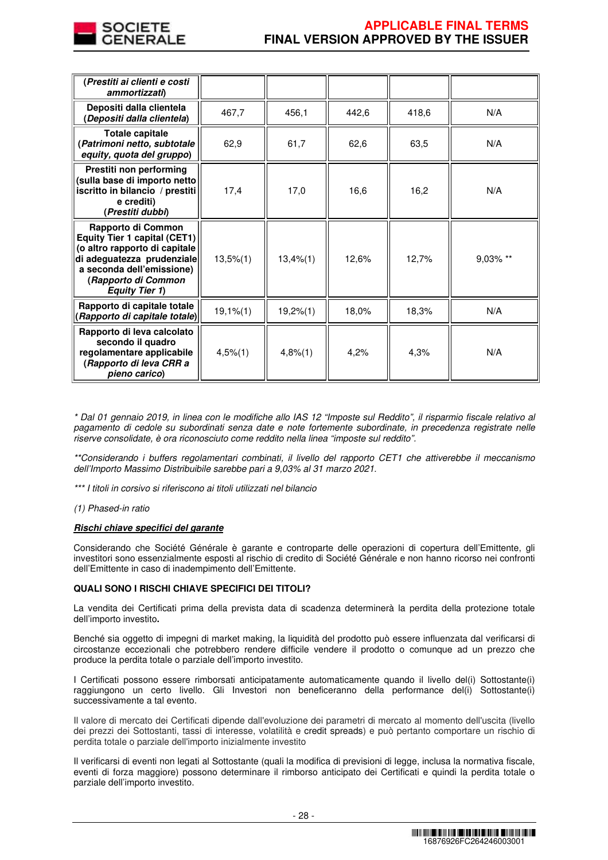

| (Prestiti ai clienti e costi<br>ammortizzati)                                                                                                                                                  |                |             |       |       |          |
|------------------------------------------------------------------------------------------------------------------------------------------------------------------------------------------------|----------------|-------------|-------|-------|----------|
| Depositi dalla clientela<br>(Depositi dalla clientela)                                                                                                                                         | 467,7          | 456,1       | 442,6 | 418,6 | N/A      |
| <b>Totale capitale</b><br>(Patrimoni netto, subtotale<br>equity, quota del gruppo)                                                                                                             | 62,9           | 61,7        | 62,6  | 63,5  | N/A      |
| Prestiti non performing<br>(sulla base di importo netto<br>iscritto in bilancio / prestiti<br>e crediti)<br>(Prestiti dubbi)                                                                   | 17,4           | 17,0        | 16,6  | 16,2  | N/A      |
| Rapporto di Common<br>Equity Tier 1 capital (CET1)<br>(o altro rapporto di capitale<br>di adeguatezza prudenziale<br>a seconda dell'emissione)<br>(Rapporto di Common<br><b>Equity Tier 1)</b> | $13,5\%$ $(1)$ | 13,4%(1)    | 12,6% | 12,7% | 9,03% ** |
| Rapporto di capitale totale<br>(Rapporto di capitale totale)                                                                                                                                   | $19,1%$ $(1)$  | 19,2%(1)    | 18,0% | 18,3% | N/A      |
| Rapporto di leva calcolato<br>secondo il quadro<br>regolamentare applicabile<br>(Rapporto di leva CRR a<br>pieno carico)                                                                       | $4,5\%$ (1)    | $4,8\%$ (1) | 4,2%  | 4,3%  | N/A      |

\* Dal 01 gennaio 2019, in linea con le modifiche allo IAS 12 "Imposte sul Reddito", il risparmio fiscale relativo al pagamento di cedole su subordinati senza date e note fortemente subordinate, in precedenza registrate nelle riserve consolidate, è ora riconosciuto come reddito nella linea "imposte sul reddito".

\*\*Considerando i buffers regolamentari combinati, il livello del rapporto CET1 che attiverebbe il meccanismo dell'Importo Massimo Distribuibile sarebbe pari a 9,03% al 31 marzo 2021.

\*\*\* I titoli in corsivo si riferiscono ai titoli utilizzati nel bilancio

(1) Phased-in ratio

#### **Rischi chiave specifici del garante**

Considerando che Société Générale è garante e controparte delle operazioni di copertura dell'Emittente, gli investitori sono essenzialmente esposti al rischio di credito di Société Générale e non hanno ricorso nei confronti dell'Emittente in caso di inadempimento dell'Emittente.

## **QUALI SONO I RISCHI CHIAVE SPECIFICI DEI TITOLI?**

La vendita dei Certificati prima della prevista data di scadenza determinerà la perdita della protezione totale dell'importo investito**.**

Benché sia oggetto di impegni di market making, la liquidità del prodotto può essere influenzata dal verificarsi di circostanze eccezionali che potrebbero rendere difficile vendere il prodotto o comunque ad un prezzo che produce la perdita totale o parziale dell'importo investito.

I Certificati possono essere rimborsati anticipatamente automaticamente quando il livello del(i) Sottostante(i) raggiungono un certo livello. Gli Investori non beneficeranno della performance del(i) Sottostante(i) successivamente a tal evento.

Il valore di mercato dei Certificati dipende dall'evoluzione dei parametri di mercato al momento dell'uscita (livello dei prezzi dei Sottostanti, tassi di interesse, volatilità e credit spreads) e può pertanto comportare un rischio di perdita totale o parziale dell'importo inizialmente investito

Il verificarsi di eventi non legati al Sottostante (quali la modifica di previsioni di legge, inclusa la normativa fiscale, eventi di forza maggiore) possono determinare il rimborso anticipato dei Certificati e quindi la perdita totale o parziale dell'importo investito.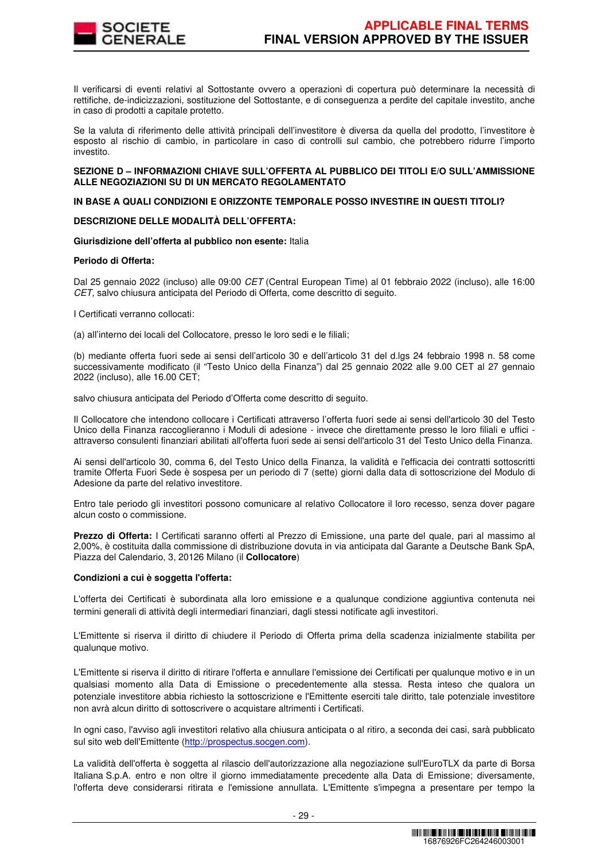

Il verificarsi di eventi relativi al Sottostante ovvero a operazioni di copertura può determinare la necessità di rettifiche, de-indicizzazioni, sostituzione del Sottostante, e di conseguenza a perdite del capitale investito, anche in caso di prodotti a capitale protetto.

Se la valuta di riferimento delle attività principali dell'investitore è diversa da quella del prodotto, l'investitore è esposto al rischio di cambio, in particolare in caso di controlli sul cambio, che potrebbero ridurre l'importo investito.

## **SEZIONE D – INFORMAZIONI CHIAVE SULL'OFFERTA AL PUBBLICO DEI TITOLI E/O SULL'AMMISSIONE ALLE NEGOZIAZIONI SU DI UN MERCATO REGOLAMENTATO**

## **IN BASE A QUALI CONDIZIONI E ORIZZONTE TEMPORALE POSSO INVESTIRE IN QUESTI TITOLI?**

## **DESCRIZIONE DELLE MODALITÀ DELL'OFFERTA:**

#### **Giurisdizione dell'offerta al pubblico non esente:** Italia

## **Periodo di Offerta:**

Dal 25 gennaio 2022 (incluso) alle 09:00 CET (Central European Time) al 01 febbraio 2022 (incluso), alle 16:00 CET, salvo chiusura anticipata del Periodo di Offerta, come descritto di seguito.

I Certificati verranno collocati:

(a) all'interno dei locali del Collocatore, presso le loro sedi e le filiali;

(b) mediante offerta fuori sede ai sensi dell'articolo 30 e dell'articolo 31 del d.lgs 24 febbraio 1998 n. 58 come successivamente modificato (il "Testo Unico della Finanza") dal 25 gennaio 2022 alle 9.00 CET al 27 gennaio 2022 (incluso), alle 16.00 CET;

salvo chiusura anticipata del Periodo d'Offerta come descritto di seguito.

Il Collocatore che intendono collocare i Certificati attraverso l'offerta fuori sede ai sensi dell'articolo 30 del Testo Unico della Finanza raccoglieranno i Moduli di adesione - invece che direttamente presso le loro filiali e uffici attraverso consulenti finanziari abilitati all'offerta fuori sede ai sensi dell'articolo 31 del Testo Unico della Finanza.

Ai sensi dell'articolo 30, comma 6, del Testo Unico della Finanza, la validità e l'efficacia dei contratti sottoscritti tramite Offerta Fuori Sede è sospesa per un periodo di 7 (sette) giorni dalla data di sottoscrizione del Modulo di Adesione da parte del relativo investitore.

Entro tale periodo gli investitori possono comunicare al relativo Collocatore il loro recesso, senza dover pagare alcun costo o commissione.

**Prezzo di Offerta:** I Certificati saranno offerti al Prezzo di Emissione, una parte del quale, pari al massimo al 2,00%, è costituita dalla commissione di distribuzione dovuta in via anticipata dal Garante a Deutsche Bank SpA, Piazza del Calendario, 3, 20126 Milano (il **Collocatore**)

#### **Condizioni a cui è soggetta l'offerta:**

L'offerta dei Certificati è subordinata alla loro emissione e a qualunque condizione aggiuntiva contenuta nei termini generali di attività degli intermediari finanziari, dagli stessi notificate agli investitori.

L'Emittente si riserva il diritto di chiudere il Periodo di Offerta prima della scadenza inizialmente stabilita per qualunque motivo.

L'Emittente si riserva il diritto di ritirare l'offerta e annullare l'emissione dei Certificati per qualunque motivo e in un qualsiasi momento alla Data di Emissione o precedentemente alla stessa. Resta inteso che qualora un potenziale investitore abbia richiesto la sottoscrizione e l'Emittente eserciti tale diritto, tale potenziale investitore non avrà alcun diritto di sottoscrivere o acquistare altrimenti i Certificati.

In ogni caso, l'avviso agli investitori relativo alla chiusura anticipata o al ritiro, a seconda dei casi, sarà pubblicato sul sito web dell'Emittente (http://prospectus.socgen.com).

La validità dell'offerta è soggetta al rilascio dell'autorizzazione alla negoziazione sull'EuroTLX da parte di Borsa Italiana S.p.A. entro e non oltre il giorno immediatamente precedente alla Data di Emissione; diversamente, l'offerta deve considerarsi ritirata e l'emissione annullata. L'Emittente s'impegna a presentare per tempo la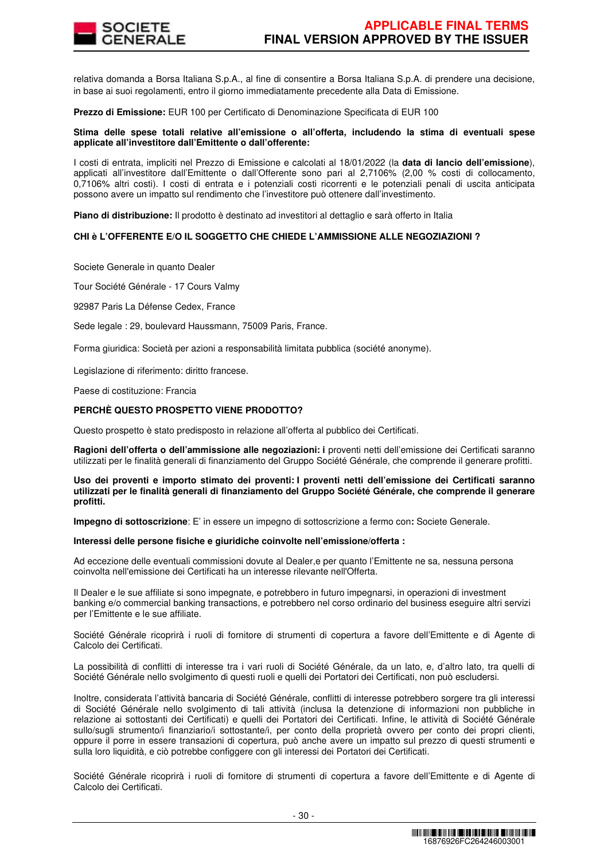

relativa domanda a Borsa Italiana S.p.A., al fine di consentire a Borsa Italiana S.p.A. di prendere una decisione, in base ai suoi regolamenti, entro il giorno immediatamente precedente alla Data di Emissione.

**Prezzo di Emissione:** EUR 100 per Certificato di Denominazione Specificata di EUR 100

## **Stima delle spese totali relative all'emissione o all'offerta, includendo la stima di eventuali spese applicate all'investitore dall'Emittente o dall'offerente:**

I costi di entrata, impliciti nel Prezzo di Emissione e calcolati al 18/01/2022 (la **data di lancio dell'emissione**), applicati all'investitore dall'Emittente o dall'Offerente sono pari al 2,7106% (2,00 % costi di collocamento, 0,7106% altri costi). I costi di entrata e i potenziali costi ricorrenti e le potenziali penali di uscita anticipata possono avere un impatto sul rendimento che l'investitore può ottenere dall'investimento.

**Piano di distribuzione:** Il prodotto è destinato ad investitori al dettaglio e sarà offerto in Italia

#### **CHI è L'OFFERENTE E/O IL SOGGETTO CHE CHIEDE L'AMMISSIONE ALLE NEGOZIAZIONI ?**

Societe Generale in quanto Dealer

Tour Société Générale - 17 Cours Valmy

92987 Paris La Défense Cedex, France

Sede legale : 29, boulevard Haussmann, 75009 Paris, France.

Forma giuridica: Società per azioni a responsabilità limitata pubblica (société anonyme).

Legislazione di riferimento: diritto francese.

Paese di costituzione: Francia

#### **PERCHÈ QUESTO PROSPETTO VIENE PRODOTTO?**

Questo prospetto è stato predisposto in relazione all'offerta al pubblico dei Certificati.

**Ragioni dell'offerta o dell'ammissione alle negoziazioni: i** proventi netti dell'emissione dei Certificati saranno utilizzati per le finalità generali di finanziamento del Gruppo Société Générale, che comprende il generare profitti.

**Uso dei proventi e importo stimato dei proventi: I proventi netti dell'emissione dei Certificati saranno utilizzati per le finalità generali di finanziamento del Gruppo Société Générale, che comprende il generare profitti.** 

**Impegno di sottoscrizione**: E' in essere un impegno di sottoscrizione a fermo con**:** Societe Generale.

#### **Interessi delle persone fisiche e giuridiche coinvolte nell'emissione/offerta :**

Ad eccezione delle eventuali commissioni dovute al Dealer,e per quanto l'Emittente ne sa, nessuna persona coinvolta nell'emissione dei Certificati ha un interesse rilevante nell'Offerta.

Il Dealer e le sue affiliate si sono impegnate, e potrebbero in futuro impegnarsi, in operazioni di investment banking e/o commercial banking transactions, e potrebbero nel corso ordinario del business eseguire altri servizi per l'Emittente e le sue affiliate.

Société Générale ricoprirà i ruoli di fornitore di strumenti di copertura a favore dell'Emittente e di Agente di Calcolo dei Certificati.

La possibilità di conflitti di interesse tra i vari ruoli di Société Générale, da un lato, e, d'altro lato, tra quelli di Société Générale nello svolgimento di questi ruoli e quelli dei Portatori dei Certificati, non può escludersi.

Inoltre, considerata l'attività bancaria di Société Générale, conflitti di interesse potrebbero sorgere tra gli interessi di Société Générale nello svolgimento di tali attività (inclusa la detenzione di informazioni non pubbliche in relazione ai sottostanti dei Certificati) e quelli dei Portatori dei Certificati. Infine, le attività di Société Générale sullo/sugli strumento/i finanziario/i sottostante/i, per conto della proprietà ovvero per conto dei propri clienti, oppure il porre in essere transazioni di copertura, può anche avere un impatto sul prezzo di questi strumenti e sulla loro liquidità, e ciò potrebbe configgere con gli interessi dei Portatori dei Certificati.

Société Générale ricoprirà i ruoli di fornitore di strumenti di copertura a favore dell'Emittente e di Agente di Calcolo dei Certificati.